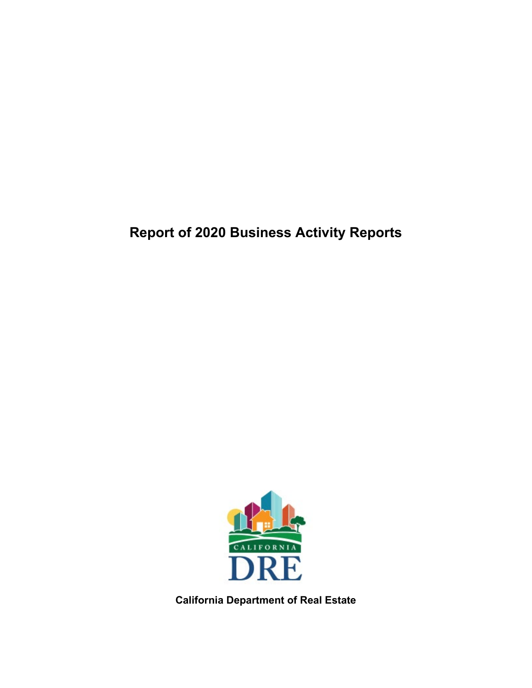# **Report of 2020 Business Activity Reports**



**California Department of Real Estate**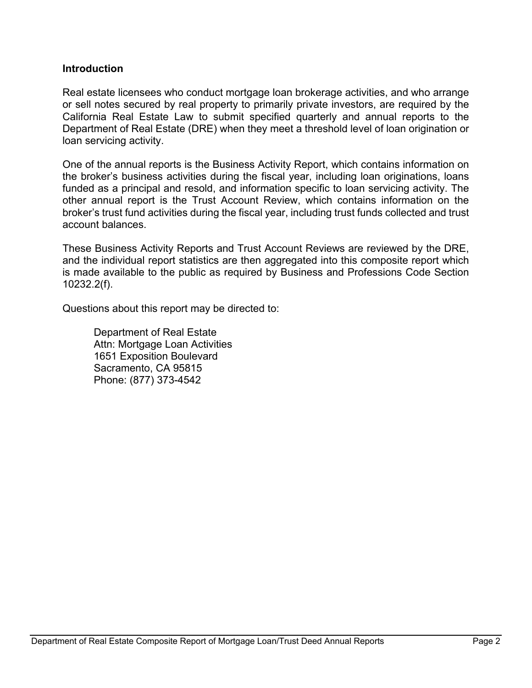# **Introduction**

Real estate licensees who conduct mortgage loan brokerage activities, and who arrange or sell notes secured by real property to primarily private investors, are required by the California Real Estate Law to submit specified quarterly and annual reports to the Department of Real Estate (DRE) when they meet a threshold level of loan origination or loan servicing activity.

One of the annual reports is the Business Activity Report, which contains information on the broker's business activities during the fiscal year, including loan originations, loans funded as a principal and resold, and information specific to loan servicing activity. The other annual report is the Trust Account Review, which contains information on the broker's trust fund activities during the fiscal year, including trust funds collected and trust account balances.

These Business Activity Reports and Trust Account Reviews are reviewed by the DRE, and the individual report statistics are then aggregated into this composite report which is made available to the public as required by Business and Professions Code Section 10232.2(f).

Questions about this report may be directed to:

Department of Real Estate Attn: Mortgage Loan Activities 1651 Exposition Boulevard Sacramento, CA 95815 Phone: (877) 373-4542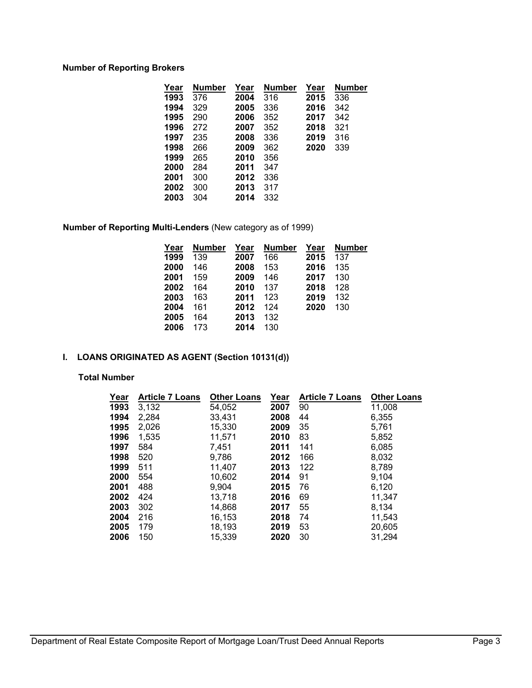## **Number of Reporting Brokers**

| Year | Number | Year | Number | Year | <b>Number</b> |
|------|--------|------|--------|------|---------------|
| 1993 | 376    | 2004 | 316    | 2015 | 336           |
| 1994 | 329    | 2005 | 336    | 2016 | 342           |
| 1995 | 290    | 2006 | 352    | 2017 | 342           |
| 1996 | 272    | 2007 | 352    | 2018 | 321           |
| 1997 | 235    | 2008 | 336    | 2019 | 316           |
| 1998 | 266    | 2009 | 362    | 2020 | 339           |
| 1999 | 265    | 2010 | 356    |      |               |
| 2000 | 284    | 2011 | 347    |      |               |
| 2001 | 300    | 2012 | 336    |      |               |
| 2002 | 300    | 2013 | 317    |      |               |
| 2003 | 304    | 2014 | 332    |      |               |

**Number of Reporting Multi-Lenders** (New category as of 1999)

| Year | <b>Number</b> | Year | Number | Year | <b>Number</b> |
|------|---------------|------|--------|------|---------------|
| 1999 | 139           | 2007 | 166    | 2015 | 137           |
| 2000 | 146           | 2008 | 153    | 2016 | 135           |
| 2001 | 159           | 2009 | 146    | 2017 | 130           |
| 2002 | 164           | 2010 | 137    | 2018 | 128           |
| 2003 | 163           | 2011 | 123    | 2019 | 132           |
| 2004 | 161           | 2012 | 124    | 2020 | 130           |
| 2005 | 164           | 2013 | 132    |      |               |
| 2006 | 173           | 2014 | 130    |      |               |

# **I. LOANS ORIGINATED AS AGENT (Section 10131(d))**

#### **Total Number**

| Year | <b>Article 7 Loans</b> | <b>Other Loans</b> | Year | <b>Article 7 Loans</b> | <b>Other Loans</b> |
|------|------------------------|--------------------|------|------------------------|--------------------|
| 1993 | 3,132                  | 54,052             | 2007 | 90                     | 11,008             |
| 1994 | 2,284                  | 33,431             | 2008 | 44                     | 6,355              |
| 1995 | 2,026                  | 15,330             | 2009 | 35                     | 5.761              |
| 1996 | 1,535                  | 11,571             | 2010 | 83                     | 5,852              |
| 1997 | 584                    | 7,451              | 2011 | 141                    | 6,085              |
| 1998 | 520                    | 9.786              | 2012 | 166                    | 8,032              |
| 1999 | 511                    | 11,407             | 2013 | 122                    | 8,789              |
| 2000 | 554                    | 10,602             | 2014 | 91                     | 9,104              |
| 2001 | 488                    | 9,904              | 2015 | 76                     | 6,120              |
| 2002 | 424                    | 13,718             | 2016 | 69                     | 11,347             |
| 2003 | 302                    | 14,868             | 2017 | 55                     | 8.134              |
| 2004 | 216                    | 16,153             | 2018 | 74                     | 11,543             |
| 2005 | 179                    | 18,193             | 2019 | 53                     | 20,605             |
| 2006 | 150                    | 15.339             | 2020 | 30                     | 31,294             |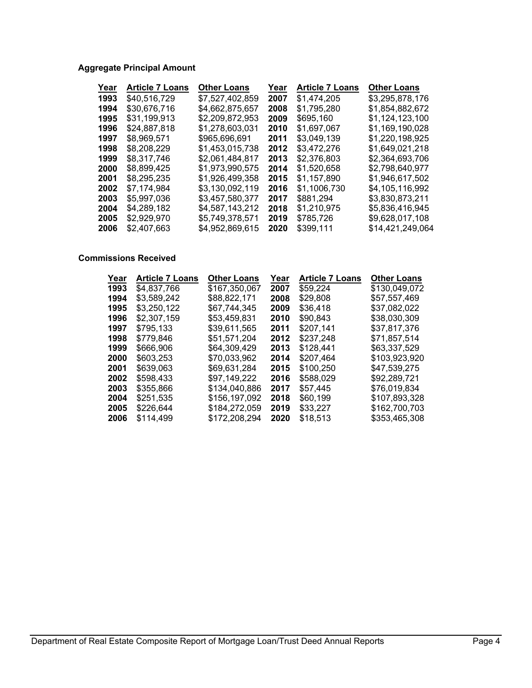# **Aggregate Principal Amount**

| Year | <b>Article 7 Loans</b> | <b>Other Loans</b> | Year | <b>Article 7 Loans</b> | <b>Other Loans</b> |
|------|------------------------|--------------------|------|------------------------|--------------------|
| 1993 | \$40,516,729           | \$7,527,402,859    | 2007 | \$1,474,205            | \$3,295,878,176    |
| 1994 | \$30.676.716           | \$4.662.875.657    | 2008 | \$1,795,280            | \$1,854,882,672    |
| 1995 | \$31,199,913           | \$2.209.872.953    | 2009 | \$695.160              | \$1,124,123,100    |
| 1996 | \$24.887.818           | \$1.278.603.031    | 2010 | \$1.697.067            | \$1.169.190.028    |
| 1997 | \$8.969.571            | \$965,696,691      | 2011 | \$3,049,139            | \$1,220,198,925    |
| 1998 | \$8,208,229            | \$1.453.015.738    | 2012 | \$3.472.276            | \$1,649,021,218    |
| 1999 | \$8.317.746            | \$2.061.484.817    | 2013 | \$2,376,803            | \$2,364,693,706    |
| 2000 | \$8.899.425            | \$1,973,990,575    | 2014 | \$1,520,658            | \$2,798,640,977    |
| 2001 | \$8.295.235            | \$1,926,499,358    | 2015 | \$1.157.890            | \$1,946,617,502    |
| 2002 | \$7.174.984            | \$3,130,092,119    | 2016 | \$1,1006,730           | \$4,105,116,992    |
| 2003 | \$5.997.036            | \$3.457.580.377    | 2017 | \$881,294              | \$3,830,873,211    |
| 2004 | \$4,289,182            | \$4.587.143.212    | 2018 | \$1,210,975            | \$5,836,416,945    |
| 2005 | \$2,929,970            | \$5.749.378.571    | 2019 | \$785,726              | \$9,628,017,108    |
| 2006 | \$2,407.663            | \$4,952,869,615    | 2020 | \$399.111              | \$14.421.249.064   |

#### **Commissions Received**

| Year | <b>Article 7 Loans</b> | <b>Other Loans</b> | Year | <b>Article 7 Loans</b> | <b>Other Loans</b> |
|------|------------------------|--------------------|------|------------------------|--------------------|
| 1993 | \$4.837.766            | \$167,350,067      | 2007 | \$59,224               | \$130,049,072      |
| 1994 | \$3.589.242            | \$88,822,171       | 2008 | \$29.808               | \$57,557,469       |
| 1995 | \$3,250,122            | \$67.744.345       | 2009 | \$36,418               | \$37.082.022       |
| 1996 | \$2,307,159            | \$53,459,831       | 2010 | \$90,843               | \$38,030,309       |
| 1997 | \$795.133              | \$39.611.565       | 2011 | \$207,141              | \$37.817.376       |
| 1998 | \$779,846              | \$51.571.204       | 2012 | \$237,248              | \$71,857,514       |
| 1999 | \$666,906              | \$64.309.429       | 2013 | \$128,441              | \$63,337,529       |
| 2000 | \$603,253              | \$70.033.962       | 2014 | \$207,464              | \$103,923,920      |
| 2001 | \$639,063              | \$69,631,284       | 2015 | \$100,250              | \$47.539.275       |
| 2002 | \$598,433              | \$97,149,222       | 2016 | \$588,029              | \$92,289,721       |
| 2003 | \$355,866              | \$134,040,886      | 2017 | \$57.445               | \$76.019.834       |
| 2004 | \$251,535              | \$156.197.092      | 2018 | \$60.199               | \$107,893,328      |
| 2005 | \$226,644              | \$184,272,059      | 2019 | \$33,227               | \$162,700,703      |
| 2006 | \$114,499              | \$172.208.294      | 2020 | \$18.513               | \$353.465.308      |
|      |                        |                    |      |                        |                    |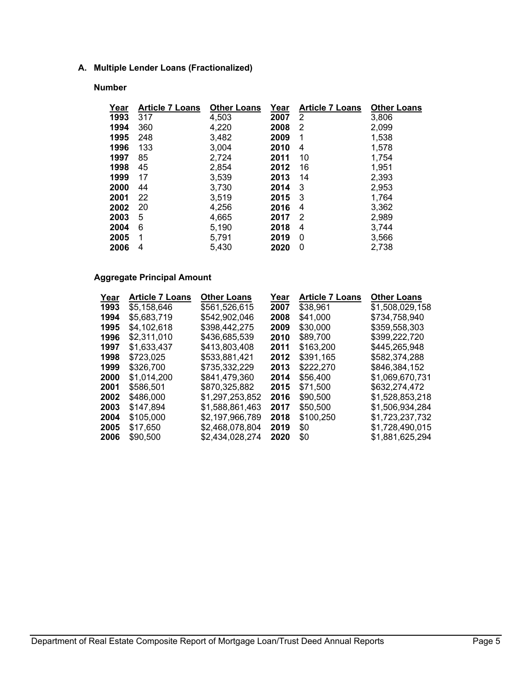## **A. Multiple Lender Loans (Fractionalized)**

#### **Number**

| Year | <b>Article 7 Loans</b> | <b>Other Loans</b> | Year | <b>Article 7 Loans</b> | <b>Other Loans</b> |
|------|------------------------|--------------------|------|------------------------|--------------------|
| 1993 | 317                    | 4,503              | 2007 | 2                      | 3,806              |
| 1994 | 360                    | 4,220              | 2008 | 2                      | 2,099              |
| 1995 | 248                    | 3,482              | 2009 | 1                      | 1,538              |
| 1996 | 133                    | 3,004              | 2010 | 4                      | 1,578              |
| 1997 | 85                     | 2,724              | 2011 | 10                     | 1,754              |
| 1998 | 45                     | 2,854              | 2012 | 16                     | 1,951              |
| 1999 | 17                     | 3,539              | 2013 | 14                     | 2,393              |
| 2000 | 44                     | 3,730              | 2014 | 3                      | 2,953              |
| 2001 | 22                     | 3.519              | 2015 | 3                      | 1,764              |
| 2002 | 20                     | 4,256              | 2016 | 4                      | 3,362              |
| 2003 | 5                      | 4,665              | 2017 | 2                      | 2,989              |
| 2004 | 6                      | 5,190              | 2018 | 4                      | 3,744              |
| 2005 | 1                      | 5,791              | 2019 | 0                      | 3,566              |
| 2006 | 4                      | 5,430              | 2020 | 0                      | 2,738              |

## **Aggregate Principal Amount**

| Year | <b>Article 7 Loans</b> | <b>Other Loans</b> | Year | <b>Article 7 Loans</b> | <b>Other Loans</b> |
|------|------------------------|--------------------|------|------------------------|--------------------|
| 1993 | \$5,158,646            | \$561,526,615      | 2007 | \$38,961               | \$1,508,029,158    |
| 1994 | \$5.683.719            | \$542.902.046      | 2008 | \$41.000               | \$734,758,940      |
| 1995 | \$4,102,618            | \$398,442,275      | 2009 | \$30,000               | \$359,558,303      |
| 1996 | \$2,311,010            | \$436,685,539      | 2010 | \$89,700               | \$399,222,720      |
| 1997 | \$1,633,437            | \$413.803.408      | 2011 | \$163,200              | \$445,265,948      |
| 1998 | \$723.025              | \$533.881.421      | 2012 | \$391.165              | \$582,374,288      |
| 1999 | \$326,700              | \$735,332,229      | 2013 | \$222,270              | \$846,384,152      |
| 2000 | \$1,014,200            | \$841,479,360      | 2014 | \$56,400               | \$1,069,670,731    |
| 2001 | \$586,501              | \$870,325,882      | 2015 | \$71.500               | \$632,274,472      |
| 2002 | \$486,000              | \$1.297.253.852    | 2016 | \$90,500               | \$1.528.853.218    |
| 2003 | \$147,894              | \$1,588,861,463    | 2017 | \$50,500               | \$1,506,934,284    |
| 2004 | \$105,000              | \$2,197,966,789    | 2018 | \$100,250              | \$1,723,237,732    |
| 2005 | \$17,650               | \$2,468,078,804    | 2019 | \$0                    | \$1,728,490,015    |
| 2006 | \$90,500               | \$2,434,028,274    | 2020 | \$0                    | \$1,881,625,294    |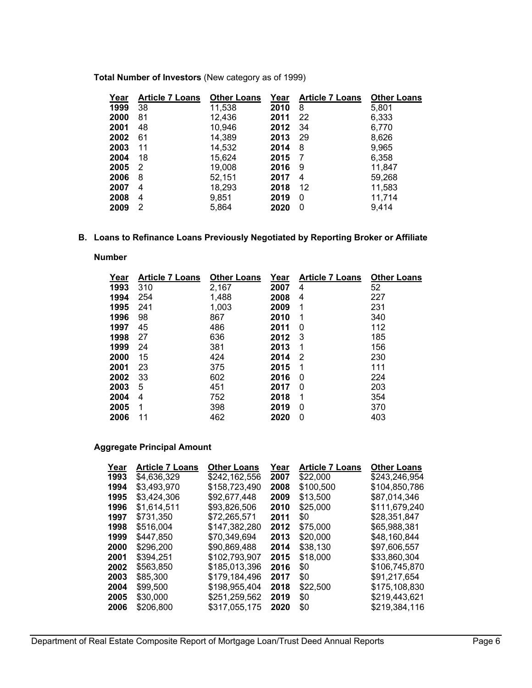| Year | <b>Article 7 Loans</b> | <b>Other Loans</b> | Year | <b>Article 7 Loans</b> | <b>Other Loans</b> |
|------|------------------------|--------------------|------|------------------------|--------------------|
| 1999 | 38                     | 11,538             | 2010 | 8                      | 5,801              |
| 2000 | 81                     | 12,436             | 2011 | 22                     | 6,333              |
| 2001 | 48                     | 10,946             | 2012 | 34                     | 6,770              |
| 2002 | 61                     | 14,389             | 2013 | 29                     | 8,626              |
| 2003 | 11                     | 14,532             | 2014 | 8                      | 9,965              |
| 2004 | 18                     | 15,624             | 2015 | 7                      | 6,358              |
| 2005 | 2                      | 19,008             | 2016 | 9                      | 11,847             |
| 2006 | 8                      | 52,151             | 2017 | 4                      | 59,268             |
| 2007 | 4                      | 18,293             | 2018 | 12                     | 11,583             |
| 2008 | 4                      | 9,851              | 2019 | 0                      | 11,714             |
| 2009 | 2                      | 5,864              | 2020 | 0                      | 9.414              |

**Total Number of Investors** (New category as of 1999)

#### **B. Loans to Refinance Loans Previously Negotiated by Reporting Broker or Affiliate**

**Number** 

| Year | <b>Article 7 Loans</b> | <b>Other Loans</b> | Year | <b>Article 7 Loans</b> | <b>Other Loans</b> |
|------|------------------------|--------------------|------|------------------------|--------------------|
| 1993 | 310                    | 2,167              | 2007 | 4                      | 52                 |
| 1994 | 254                    | 1,488              | 2008 | 4                      | 227                |
| 1995 | 241                    | 1,003              | 2009 | 1                      | 231                |
| 1996 | 98                     | 867                | 2010 | 1                      | 340                |
| 1997 | 45                     | 486                | 2011 | 0                      | 112                |
| 1998 | 27                     | 636                | 2012 | 3                      | 185                |
| 1999 | 24                     | 381                | 2013 | 1                      | 156                |
| 2000 | 15                     | 424                | 2014 | 2                      | 230                |
| 2001 | 23                     | 375                | 2015 | 1                      | 111                |
| 2002 | 33                     | 602                | 2016 | 0                      | 224                |
| 2003 | 5                      | 451                | 2017 | 0                      | 203                |
| 2004 | 4                      | 752                | 2018 | 1                      | 354                |
| 2005 | 1                      | 398                | 2019 | 0                      | 370                |
| 2006 | 11                     | 462                | 2020 | 0                      | 403                |

## **Aggregate Principal Amount**

| <b>Article 7 Loans</b> | <b>Other Loans</b> | Year | <b>Article 7 Loans</b> | <b>Other Loans</b> |
|------------------------|--------------------|------|------------------------|--------------------|
| \$4,636,329            | \$242,162,556      | 2007 | \$22,000               | \$243,246,954      |
| \$3.493.970            | \$158,723,490      | 2008 | \$100,500              | \$104,850,786      |
| \$3,424,306            | \$92,677,448       | 2009 | \$13,500               | \$87,014,346       |
| \$1.614.511            | \$93,826,506       | 2010 | \$25,000               | \$111,679,240      |
| \$731.350              | \$72.265.571       | 2011 | \$0                    | \$28.351.847       |
| \$516,004              | \$147,382,280      | 2012 | \$75,000               | \$65,988,381       |
| \$447.850              | \$70.349.694       | 2013 | \$20,000               | \$48.160.844       |
| \$296,200              | \$90,869,488       | 2014 | \$38,130               | \$97.606.557       |
| \$394,251              | \$102,793,907      | 2015 | \$18,000               | \$33,860,304       |
| \$563,850              | \$185,013,396      | 2016 | \$0                    | \$106,745,870      |
| \$85,300               | \$179,184,496      | 2017 | \$0                    | \$91,217,654       |
| \$99,500               | \$198,955,404      | 2018 | \$22,500               | \$175,108,830      |
| \$30,000               | \$251,259,562      | 2019 | \$0                    | \$219,443,621      |
| \$206,800              | \$317.055.175      | 2020 | \$0                    | \$219.384.116      |
|                        |                    |      |                        |                    |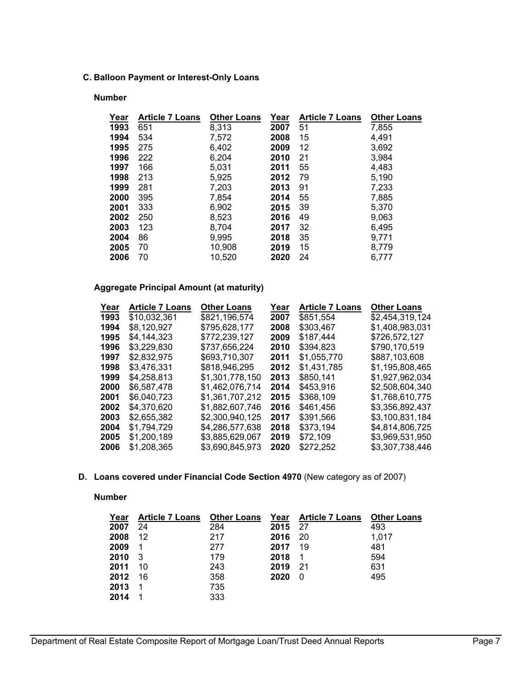## **C. Balloon Payment or Interest-Only Loans**

#### **Number**

| Year | <b>Article 7 Loans</b> | <b>Other Loans</b> | Year | <b>Article 7 Loans</b> | <b>Other Loans</b> |
|------|------------------------|--------------------|------|------------------------|--------------------|
| 1993 | 651                    | 8,313              | 2007 | 51                     | 7,855              |
| 1994 | 534                    | 7,572              | 2008 | 15                     | 4,491              |
| 1995 | 275                    | 6,402              | 2009 | 12                     | 3,692              |
| 1996 | 222                    | 6,204              | 2010 | 21                     | 3,984              |
| 1997 | 166                    | 5,031              | 2011 | 55                     | 4,483              |
| 1998 | 213                    | 5,925              | 2012 | 79                     | 5,190              |
| 1999 | 281                    | 7,203              | 2013 | 91                     | 7,233              |
| 2000 | 395                    | 7,854              | 2014 | 55                     | 7,885              |
| 2001 | 333                    | 6,902              | 2015 | 39                     | 5,370              |
| 2002 | 250                    | 8,523              | 2016 | 49                     | 9,063              |
| 2003 | 123                    | 8,704              | 2017 | 32                     | 6,495              |
| 2004 | 86                     | 9,995              | 2018 | 35                     | 9,771              |
| 2005 | 70                     | 10,908             | 2019 | 15                     | 8,779              |
| 2006 | 70                     | 10,520             | 2020 | 24                     | 6,777              |

#### **Aggregate Principal Amount (at maturity)**

| Year | Article 7 Loans | <b>Other Loans</b> | Year | <b>Article 7 Loans</b> | <b>Other Loans</b> |
|------|-----------------|--------------------|------|------------------------|--------------------|
| 1993 | \$10,032,361    | \$821,196,574      | 2007 | \$851,554              | \$2,454,319,124    |
| 1994 | \$8.120.927     | \$795,628,177      | 2008 | \$303,467              | \$1,408,983,031    |
| 1995 | \$4,144,323     | \$772,239,127      | 2009 | \$187,444              | \$726,572,127      |
| 1996 | \$3,229,830     | \$737,656,224      | 2010 | \$394,823              | \$790,170,519      |
| 1997 | \$2,832,975     | \$693.710.307      | 2011 | \$1,055,770            | \$887,103,608      |
| 1998 | \$3,476,331     | \$818,946,295      | 2012 | \$1,431,785            | \$1,195,808,465    |
| 1999 | \$4,258,813     | \$1.301.778.150    | 2013 | \$850,141              | \$1,927,962,034    |
| 2000 | \$6.587.478     | \$1,462,076,714    | 2014 | \$453,916              | \$2,508,604,340    |
| 2001 | \$6,040,723     | \$1,361,707,212    | 2015 | \$368,109              | \$1,768,610,775    |
| 2002 | \$4.370.620     | \$1.882.607.746    | 2016 | \$461,456              | \$3,356,892,437    |
| 2003 | \$2,655,382     | \$2,300,940,125    | 2017 | \$391,566              | \$3,100,831,184    |
| 2004 | \$1,794,729     | \$4,286,577,638    | 2018 | \$373,194              | \$4,814,806,725    |
| 2005 | \$1,200,189     | \$3,885,629,067    | 2019 | \$72.109               | \$3,969,531,950    |
| 2006 | \$1,208,365     | \$3,690,845,973    | 2020 | \$272,252              | \$3,307,738,446    |

**D. Loans covered under Financial Code Section 4970** (New category as of 2007)

**Number** 

| Year | <b>Article 7 Loans</b> | <b>Other Loans</b> |      | Year Article 7 Loans | <b>Other Loans</b> |
|------|------------------------|--------------------|------|----------------------|--------------------|
| 2007 | 24                     | 284                | 2015 | 27                   | 493                |
| 2008 | 12                     | 217                | 2016 | 20                   | 1.017              |
| 2009 |                        | 277                | 2017 | 19                   | 481                |
| 2010 | -3                     | 179                | 2018 | $\mathbf 1$          | 594                |
| 2011 | 10                     | 243                | 2019 | 21                   | 631                |
| 2012 | 16                     | 358                | 2020 | 0                    | 495                |
| 2013 |                        | 735                |      |                      |                    |
| 2014 |                        | 333                |      |                      |                    |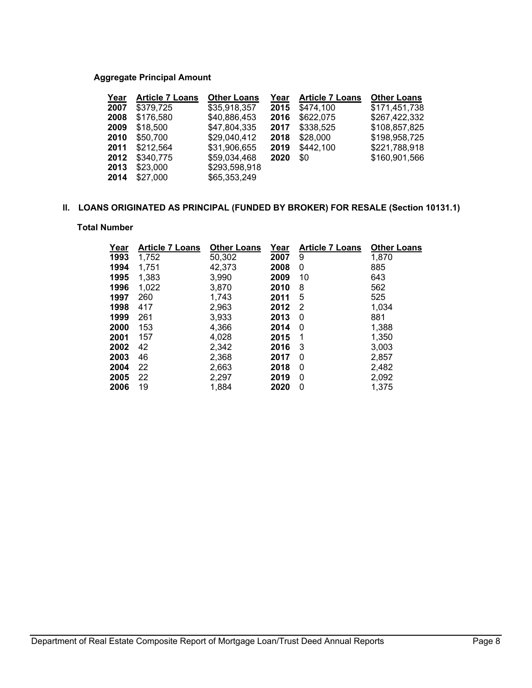## **Aggregate Principal Amount**

| Year | <b>Article 7 Loans</b> | <b>Other Loans</b> | Year | <b>Article 7 Loans</b> | <b>Other Loans</b> |
|------|------------------------|--------------------|------|------------------------|--------------------|
| 2007 | \$379,725              | \$35,918,357       | 2015 | \$474,100              | \$171,451,738      |
| 2008 | \$176,580              | \$40,886,453       | 2016 | \$622,075              | \$267,422,332      |
| 2009 | \$18,500               | \$47,804,335       | 2017 | \$338,525              | \$108,857,825      |
| 2010 | \$50,700               | \$29,040,412       | 2018 | \$28,000               | \$198,958,725      |
| 2011 | \$212,564              | \$31,906,655       | 2019 | \$442,100              | \$221,788,918      |
| 2012 | \$340,775              | \$59,034,468       | 2020 | \$0                    | \$160,901,566      |
| 2013 | \$23,000               | \$293,598,918      |      |                        |                    |
| 2014 | \$27,000               | \$65,353,249       |      |                        |                    |

# **ll. LOANS ORIGINATED AS PRINCIPAL (FUNDED BY BROKER) FOR RESALE (Section 10131.1)**

#### **Total Number**

| Year | <b>Article 7 Loans</b> | <b>Other Loans</b> | Year | <b>Article 7 Loans</b> | <b>Other Loans</b> |
|------|------------------------|--------------------|------|------------------------|--------------------|
| 1993 | 1,752                  | 50,302             | 2007 | 9                      | 1,870              |
| 1994 | 1,751                  | 42,373             | 2008 | 0                      | 885                |
| 1995 | 1,383                  | 3,990              | 2009 | 10                     | 643                |
| 1996 | 1,022                  | 3,870              | 2010 | 8                      | 562                |
| 1997 | 260                    | 1,743              | 2011 | 5                      | 525                |
| 1998 | 417                    | 2,963              | 2012 | 2                      | 1,034              |
| 1999 | 261                    | 3,933              | 2013 | 0                      | 881                |
| 2000 | 153                    | 4,366              | 2014 | 0                      | 1,388              |
| 2001 | 157                    | 4.028              | 2015 | 1                      | 1,350              |
| 2002 | 42                     | 2,342              | 2016 | 3                      | 3,003              |
| 2003 | 46                     | 2,368              | 2017 | 0                      | 2,857              |
| 2004 | 22                     | 2,663              | 2018 | 0                      | 2,482              |
| 2005 | 22                     | 2,297              | 2019 | 0                      | 2,092              |
| 2006 | 19                     | 1,884              | 2020 | 0                      | 1,375              |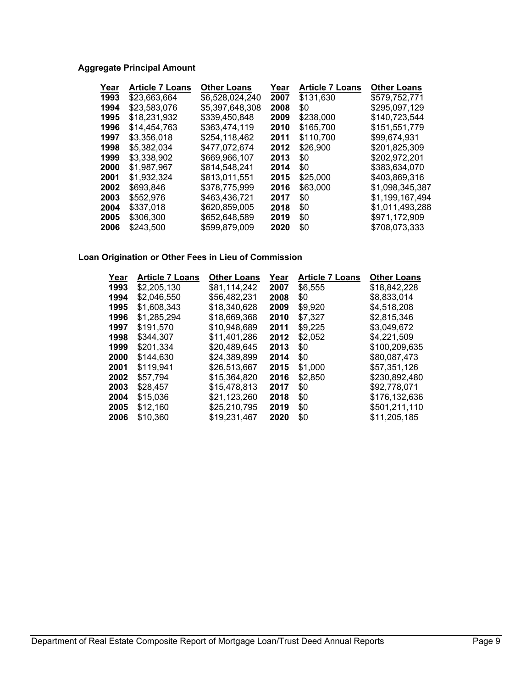# **Aggregate Principal Amount**

| Year | <b>Article 7 Loans</b> | <b>Other Loans</b> | Year | <b>Article 7 Loans</b> | <b>Other Loans</b> |
|------|------------------------|--------------------|------|------------------------|--------------------|
| 1993 | \$23,663,664           | \$6,528,024,240    | 2007 | \$131.630              | \$579,752,771      |
| 1994 | \$23,583,076           | \$5,397,648,308    | 2008 | \$0                    | \$295,097,129      |
| 1995 | \$18,231,932           | \$339,450,848      | 2009 | \$238,000              | \$140,723,544      |
| 1996 | \$14,454,763           | \$363,474,119      | 2010 | \$165,700              | \$151,551,779      |
| 1997 | \$3,356,018            | \$254,118,462      | 2011 | \$110,700              | \$99,674,931       |
| 1998 | \$5,382,034            | \$477.072.674      | 2012 | \$26,900               | \$201,825,309      |
| 1999 | \$3,338,902            | \$669,966,107      | 2013 | \$0                    | \$202,972,201      |
| 2000 | \$1.987.967            | \$814.548.241      | 2014 | \$0                    | \$383,634,070      |
| 2001 | \$1.932.324            | \$813.011.551      | 2015 | \$25,000               | \$403.869.316      |
| 2002 | \$693,846              | \$378,775,999      | 2016 | \$63,000               | \$1,098,345,387    |
| 2003 | \$552.976              | \$463,436,721      | 2017 | \$0                    | \$1,199,167,494    |
| 2004 | \$337,018              | \$620,859,005      | 2018 | \$0                    | \$1,011,493,288    |
| 2005 | \$306,300              | \$652,648,589      | 2019 | \$0                    | \$971,172,909      |
| 2006 | \$243,500              | \$599.879.009      | 2020 | \$0                    | \$708.073.333      |

#### **Loan Origination or Other Fees in Lieu of Commission**

| Year | <b>Article 7 Loans</b> | <b>Other Loans</b> | Year | <b>Article 7 Loans</b> | <b>Other Loans</b> |
|------|------------------------|--------------------|------|------------------------|--------------------|
| 1993 | \$2,205,130            | \$81,114,242       | 2007 | \$6,555                | \$18,842,228       |
| 1994 | \$2,046,550            | \$56,482,231       | 2008 | \$0                    | \$8,833,014        |
| 1995 | \$1,608,343            | \$18.340.628       | 2009 | \$9,920                | \$4,518,208        |
| 1996 | \$1,285,294            | \$18,669,368       | 2010 | \$7,327                | \$2,815,346        |
| 1997 | \$191.570              | \$10.948.689       | 2011 | \$9,225                | \$3.049.672        |
| 1998 | \$344,307              | \$11,401,286       | 2012 | \$2,052                | \$4,221,509        |
| 1999 | \$201,334              | \$20,489,645       | 2013 | \$0                    | \$100,209,635      |
| 2000 | \$144.630              | \$24,389,899       | 2014 | \$0                    | \$80,087,473       |
| 2001 | \$119,941              | \$26.513.667       | 2015 | \$1,000                | \$57.351.126       |
| 2002 | \$57,794               | \$15,364,820       | 2016 | \$2,850                | \$230,892,480      |
| 2003 | \$28,457               | \$15,478,813       | 2017 | \$0                    | \$92,778,071       |
| 2004 | \$15,036               | \$21,123,260       | 2018 | \$0                    | \$176.132.636      |
| 2005 | \$12,160               | \$25,210,795       | 2019 | \$0                    | \$501,211,110      |
| 2006 | \$10.360               | \$19.231.467       | 2020 | \$0                    | \$11.205.185       |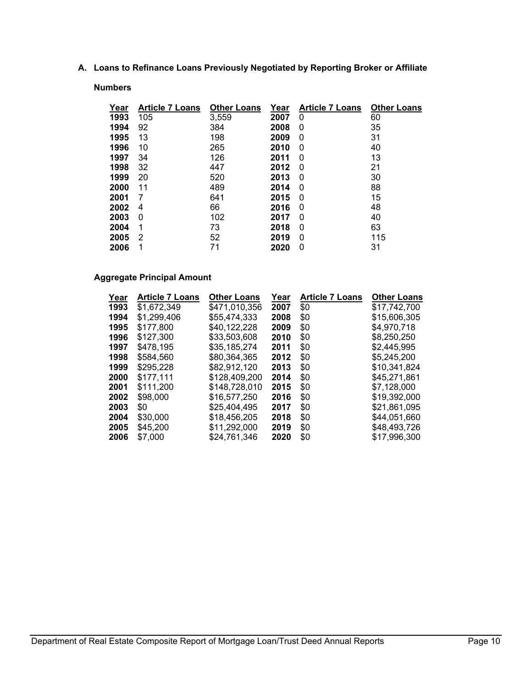**A. Loans to Refinance Loans Previously Negotiated by Reporting Broker or Affiliate**

#### **Numbers**

| Year | <b>Article 7 Loans</b> | <b>Other Loans</b> | Year | <b>Article 7 Loans</b> | <b>Other Loans</b> |
|------|------------------------|--------------------|------|------------------------|--------------------|
| 1993 | 105                    | 3,559              | 2007 | 0                      | 60                 |
| 1994 | 92                     | 384                | 2008 | 0                      | 35                 |
| 1995 | 13                     | 198                | 2009 | 0                      | 31                 |
| 1996 | 10                     | 265                | 2010 | 0                      | 40                 |
| 1997 | 34                     | 126                | 2011 | 0                      | 13                 |
| 1998 | 32                     | 447                | 2012 | 0                      | 21                 |
| 1999 | 20                     | 520                | 2013 | 0                      | 30                 |
| 2000 | 11                     | 489                | 2014 | 0                      | 88                 |
| 2001 | 7                      | 641                | 2015 | 0                      | 15                 |
| 2002 | 4                      | 66                 | 2016 | 0                      | 48                 |
| 2003 | 0                      | 102                | 2017 | 0                      | 40                 |
| 2004 |                        | 73                 | 2018 | 0                      | 63                 |
| 2005 | 2                      | 52                 | 2019 | 0                      | 115                |
| 2006 |                        | 71                 | 2020 | 0                      | 31                 |

## **Aggregate Principal Amount**

| <b>Article 7 Loans</b> | <b>Other Loans</b> | Year | <b>Article 7 Loans</b> | <b>Other Loans</b> |
|------------------------|--------------------|------|------------------------|--------------------|
| \$1,672,349            | \$471,010,356      | 2007 | \$0                    | \$17,742,700       |
| \$1,299,406            | \$55,474,333       | 2008 | \$0                    | \$15,606,305       |
| \$177.800              | \$40.122.228       | 2009 | \$0                    | \$4.970.718        |
| \$127,300              | \$33,503,608       | 2010 | \$0                    | \$8,250,250        |
| \$478.195              | \$35,185,274       | 2011 | \$0                    | \$2,445,995        |
| \$584.560              | \$80.364.365       | 2012 | \$0                    | \$5,245,200        |
| \$295,228              | \$82.912.120       | 2013 | \$0                    | \$10.341.824       |
| \$177,111              | \$128,409,200      | 2014 | \$0                    | \$45,271,861       |
| \$111.200              | \$148.728.010      | 2015 | \$0                    | \$7.128.000        |
| \$98,000               | \$16,577,250       | 2016 | \$0                    | \$19.392.000       |
| \$0                    | \$25,404,495       | 2017 | \$0                    | \$21,861,095       |
| \$30,000               | \$18,456,205       | 2018 | \$0                    | \$44,051,660       |
| \$45,200               | \$11,292,000       | 2019 | \$0                    | \$48,493,726       |
| \$7,000                | \$24.761.346       | 2020 | \$0                    | \$17,996,300       |
|                        |                    |      |                        |                    |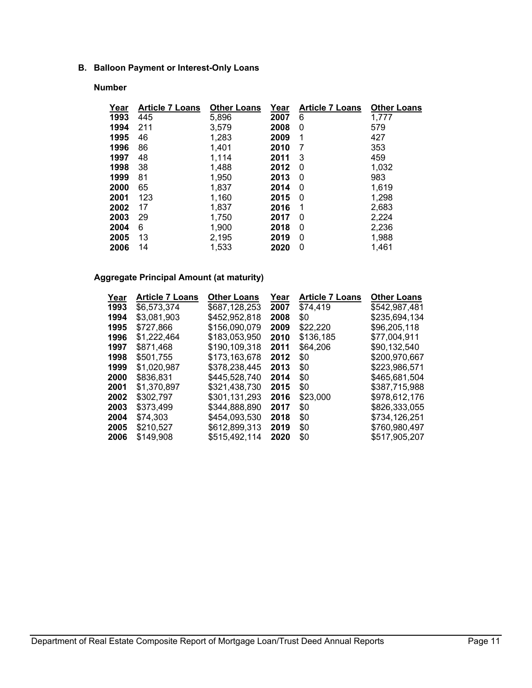## **B. Balloon Payment or Interest-Only Loans**

## **Number**

| Year | <b>Article 7 Loans</b> | <b>Other Loans</b> | Year | <b>Article 7 Loans</b> | <b>Other Loans</b> |
|------|------------------------|--------------------|------|------------------------|--------------------|
| 1993 | 445                    | 5,896              | 2007 | 6                      | 1,777              |
| 1994 | 211                    | 3.579              | 2008 | 0                      | 579                |
| 1995 | 46                     | 1,283              | 2009 | 1                      | 427                |
| 1996 | 86                     | 1.401              | 2010 | 7                      | 353                |
| 1997 | 48                     | 1.114              | 2011 | 3                      | 459                |
| 1998 | 38                     | 1,488              | 2012 | 0                      | 1,032              |
| 1999 | 81                     | 1,950              | 2013 | 0                      | 983                |
| 2000 | 65                     | 1,837              | 2014 | 0                      | 1,619              |
| 2001 | 123                    | 1,160              | 2015 | 0                      | 1,298              |
| 2002 | 17                     | 1,837              | 2016 | 1                      | 2,683              |
| 2003 | 29                     | 1,750              | 2017 | 0                      | 2,224              |
| 2004 | 6                      | 1,900              | 2018 | 0                      | 2,236              |
| 2005 | 13                     | 2,195              | 2019 | 0                      | 1,988              |
| 2006 | 14                     | 1,533              | 2020 | 0                      | 1.461              |

## **Aggregate Principal Amount (at maturity)**

| Year | <b>Article 7 Loans</b> | <b>Other Loans</b> | Year | <b>Article 7 Loans</b> | <b>Other Loans</b> |
|------|------------------------|--------------------|------|------------------------|--------------------|
| 1993 | \$6,573,374            | \$687,128,253      | 2007 | \$74,419               | \$542,987,481      |
| 1994 | \$3,081,903            | \$452.952.818      | 2008 | \$0                    | \$235,694,134      |
| 1995 | \$727.866              | \$156,090,079      | 2009 | \$22.220               | \$96,205,118       |
| 1996 | \$1,222,464            | \$183,053,950      | 2010 | \$136,185              | \$77,004,911       |
| 1997 | \$871,468              | \$190,109,318      | 2011 | \$64,206               | \$90,132,540       |
| 1998 | \$501,755              | \$173.163.678      | 2012 | \$0                    | \$200,970,667      |
| 1999 | \$1,020,987            | \$378,238,445      | 2013 | \$0                    | \$223,986,571      |
| 2000 | \$836,831              | \$445,528,740      | 2014 | \$0                    | \$465,681,504      |
| 2001 | \$1,370,897            | \$321,438,730      | 2015 | \$0                    | \$387,715,988      |
| 2002 | \$302,797              | \$301,131,293      | 2016 | \$23,000               | \$978.612.176      |
| 2003 | \$373,499              | \$344,888,890      | 2017 | \$0                    | \$826,333,055      |
| 2004 | \$74.303               | \$454.093.530      | 2018 | \$0                    | \$734,126,251      |
| 2005 | \$210,527              | \$612,899,313      | 2019 | \$0                    | \$760,980.497      |
| 2006 | \$149,908              | \$515,492,114      | 2020 | \$0                    | \$517,905,207      |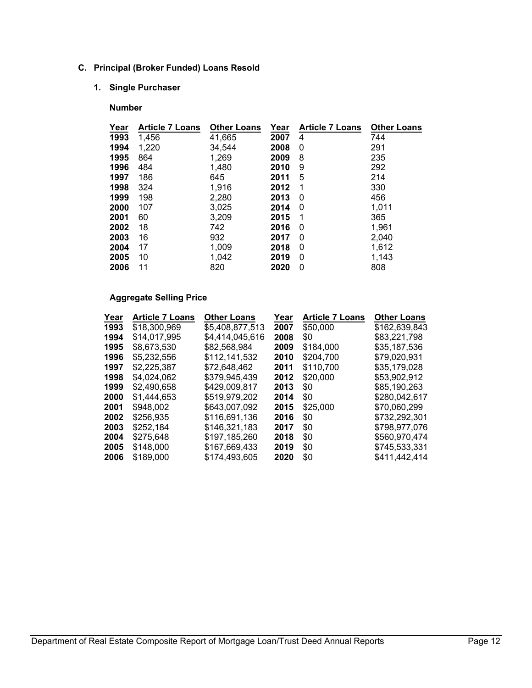## **C. Principal (Broker Funded) Loans Resold**

# **1. Single Purchaser**

#### **Number**

| Year<br><b>Article 7 Loans</b><br><b>Other Loans</b><br>Year<br><b>Article 7 Loans</b> | <b>Other Loans</b> |
|----------------------------------------------------------------------------------------|--------------------|
| 1993<br>1,456<br>41,665<br>2007<br>4                                                   | 744                |
| 1994<br>1,220<br>34,544<br>2008<br>0                                                   | 291                |
| 1995<br>1,269<br>864<br>2009<br>8                                                      | 235                |
| 1,480<br>484<br>1996<br>9<br>2010                                                      | 292                |
| 186<br>645<br>5<br>1997<br>2011                                                        | 214                |
| 1,916<br>1998<br>324<br>2012<br>1                                                      | 330                |
| 2,280<br>198<br>1999<br>2013<br>0                                                      | 456                |
| 3,025<br>2000<br>107<br>2014<br>0                                                      | 1,011              |
| 3,209<br>2001<br>2015<br>60<br>1                                                       | 365                |
| 18<br>742<br>2002<br>2016<br>0                                                         | 1,961              |
| 932<br>2003<br>16<br>2017<br>0                                                         | 2,040              |
| 17<br>1,009<br>2004<br>2018<br>0                                                       | 1,612              |
| 1,042<br>10<br>0<br>2005<br>2019                                                       | 1,143              |
| 2006<br>11<br>820<br>2020<br>0                                                         | 808                |

# **Aggregate Selling Price**

| Year | <b>Article 7 Loans</b> | <b>Other Loans</b> | Year | <b>Article 7 Loans</b> | <b>Other Loans</b> |
|------|------------------------|--------------------|------|------------------------|--------------------|
| 1993 | \$18,300,969           | \$5,408,877,513    | 2007 | \$50,000               | \$162,639,843      |
| 1994 | \$14,017,995           | \$4,414,045,616    | 2008 | \$0                    | \$83,221,798       |
| 1995 | \$8.673.530            | \$82.568.984       | 2009 | \$184,000              | \$35,187,536       |
| 1996 | \$5.232.556            | \$112,141,532      | 2010 | \$204,700              | \$79.020.931       |
| 1997 | \$2,225,387            | \$72,648,462       | 2011 | \$110,700              | \$35,179,028       |
| 1998 | \$4,024,062            | \$379.945.439      | 2012 | \$20,000               | \$53,902,912       |
| 1999 | \$2.490.658            | \$429,009,817      | 2013 | \$0                    | \$85,190,263       |
| 2000 | \$1,444,653            | \$519,979,202      | 2014 | \$0                    | \$280,042,617      |
| 2001 | \$948,002              | \$643.007.092      | 2015 | \$25,000               | \$70,060,299       |
| 2002 | \$256,935              | \$116,691,136      | 2016 | \$0                    | \$732,292,301      |
| 2003 | \$252,184              | \$146,321,183      | 2017 | \$0                    | \$798.977.076      |
| 2004 | \$275,648              | \$197,185,260      | 2018 | \$0                    | \$560,970,474      |
| 2005 | \$148,000              | \$167,669,433      | 2019 | \$0                    | \$745,533,331      |
| 2006 | \$189,000              | \$174,493,605      | 2020 | \$0                    | \$411,442,414      |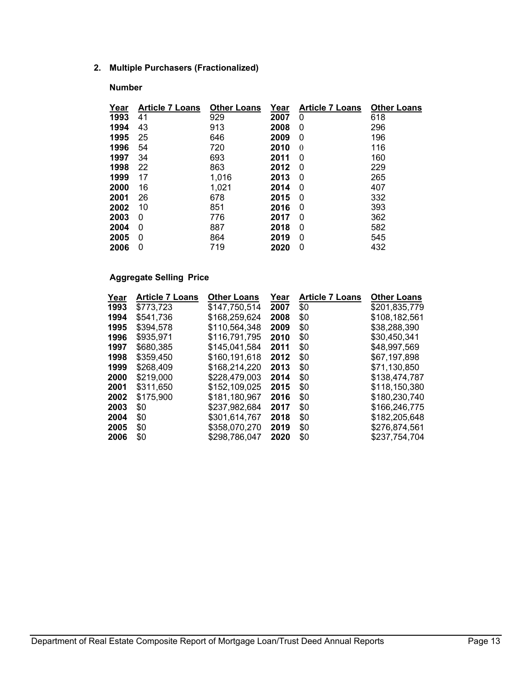## **2. Multiple Purchasers (Fractionalized)**

## **Number**

| Year | <b>Article 7 Loans</b> | <b>Other Loans</b> | <u>Year</u> | <b>Article 7 Loans</b> | <b>Other Loans</b> |
|------|------------------------|--------------------|-------------|------------------------|--------------------|
| 1993 | 41                     | 929                | 2007        | 0                      | 618                |
| 1994 | 43                     | 913                | 2008        | 0                      | 296                |
| 1995 | 25                     | 646                | 2009        | 0                      | 196                |
| 1996 | 54                     | 720                | 2010        | $\theta$               | 116                |
| 1997 | 34                     | 693                | 2011        | 0                      | 160                |
| 1998 | 22                     | 863                | 2012        | 0                      | 229                |
| 1999 | 17                     | 1,016              | 2013        | 0                      | 265                |
| 2000 | 16                     | 1,021              | 2014        | 0                      | 407                |
| 2001 | 26                     | 678                | 2015        | 0                      | 332                |
| 2002 | 10                     | 851                | 2016        | 0                      | 393                |
| 2003 | 0                      | 776                | 2017        | 0                      | 362                |
| 2004 | 0                      | 887                | 2018        | 0                      | 582                |
| 2005 | 0                      | 864                | 2019        | 0                      | 545                |
| 2006 | 0                      | 719                | 2020        | 0                      | 432                |

## **Aggregate Selling Price**

| Year | <b>Article 7 Loans</b> | <b>Other Loans</b> | Year | <b>Article 7 Loans</b> | <b>Other Loans</b> |
|------|------------------------|--------------------|------|------------------------|--------------------|
| 1993 | \$773,723              | \$147,750,514      | 2007 | \$0                    | \$201,835,779      |
| 1994 | \$541,736              | \$168,259,624      | 2008 | \$0                    | \$108,182,561      |
| 1995 | \$394.578              | \$110.564.348      | 2009 | \$0                    | \$38,288,390       |
| 1996 | \$935,971              | \$116,791,795      | 2010 | \$0                    | \$30.450.341       |
| 1997 | \$680,385              | \$145,041,584      | 2011 | \$0                    | \$48,997,569       |
| 1998 | \$359,450              | \$160,191,618      | 2012 | \$0                    | \$67,197,898       |
| 1999 | \$268.409              | \$168.214.220      | 2013 | \$0                    | \$71.130.850       |
| 2000 | \$219,000              | \$228,479,003      | 2014 | \$0                    | \$138,474,787      |
| 2001 | \$311.650              | \$152,109,025      | 2015 | \$0                    | \$118.150.380      |
| 2002 | \$175,900              | \$181,180,967      | 2016 | \$0                    | \$180,230,740      |
| 2003 | \$0                    | \$237,982,684      | 2017 | \$0                    | \$166,246,775      |
| 2004 | \$0                    | \$301,614,767      | 2018 | \$0                    | \$182,205,648      |
| 2005 | \$0                    | \$358,070,270      | 2019 | \$0                    | \$276.874.561      |
| 2006 | \$0                    | \$298,786,047      | 2020 | \$0                    | \$237.754.704      |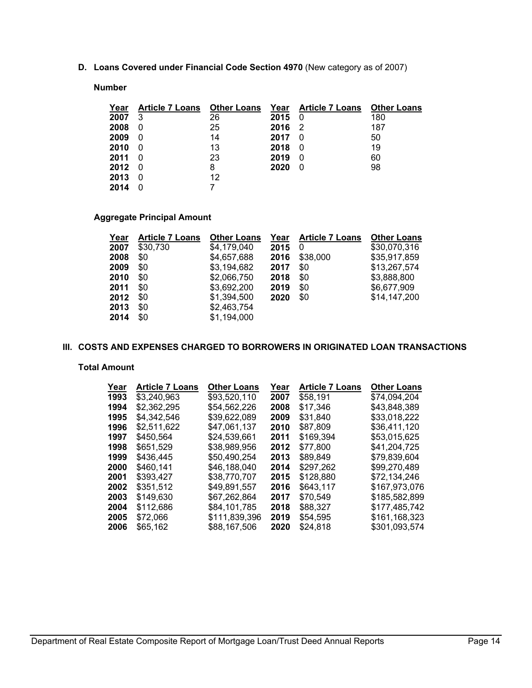**D. Loans Covered under Financial Code Section 4970** (New category as of 2007)

#### **Number**

| Year | <b>Article 7 Loans</b> | <b>Other Loans</b> |      | Year Article 7 Loans | <b>Other Loans</b> |
|------|------------------------|--------------------|------|----------------------|--------------------|
| 2007 | 3                      | 26                 | 2015 | 0                    | 180                |
| 2008 |                        | 25                 | 2016 | -2                   | 187                |
| 2009 | 0                      | 14                 | 2017 | 0                    | 50                 |
| 2010 | 0                      | 13                 | 2018 | 0                    | 19                 |
| 2011 |                        | 23                 | 2019 | 0                    | 60                 |
| 2012 | 0                      | 8                  | 2020 | 0                    | 98                 |
| 2013 | 0                      | 12                 |      |                      |                    |
| 2014 |                        |                    |      |                      |                    |

# **Aggregate Principal Amount**

| <b>Article 7 Loans</b> | <b>Other Loans</b> | Year | <b>Article 7 Loans</b> | <b>Other Loans</b> |
|------------------------|--------------------|------|------------------------|--------------------|
| \$30.730               | \$4,179,040        | 2015 | 0                      | \$30,070,316       |
| \$0                    | \$4,657,688        | 2016 | \$38,000               | \$35,917,859       |
| \$0                    | \$3.194.682        | 2017 | \$0                    | \$13,267,574       |
| \$0                    | \$2,066,750        | 2018 | \$0                    | \$3,888,800        |
| \$0                    | \$3,692,200        | 2019 | \$0                    | \$6,677,909        |
| \$0                    | \$1,394,500        | 2020 | \$0                    | \$14,147,200       |
| \$0                    | \$2,463,754        |      |                        |                    |
| \$0                    | \$1,194,000        |      |                        |                    |
|                        |                    |      |                        |                    |

#### **III. COSTS AND EXPENSES CHARGED TO BORROWERS IN ORIGINATED LOAN TRANSACTIONS**

#### **Total Amount**

| Year | <b>Article 7 Loans</b> | <b>Other Loans</b> | Year | <b>Article 7 Loans</b> | <b>Other Loans</b> |
|------|------------------------|--------------------|------|------------------------|--------------------|
| 1993 | \$3,240,963            | \$93,520,110       | 2007 | \$58,191               | \$74,094,204       |
| 1994 | \$2,362,295            | \$54,562,226       | 2008 | \$17,346               | \$43,848,389       |
| 1995 | \$4.342.546            | \$39,622,089       | 2009 | \$31,840               | \$33,018,222       |
| 1996 | \$2.511.622            | \$47,061,137       | 2010 | \$87,809               | \$36,411,120       |
| 1997 | \$450,564              | \$24.539.661       | 2011 | \$169,394              | \$53,015,625       |
| 1998 | \$651.529              | \$38.989.956       | 2012 | \$77.800               | \$41,204,725       |
| 1999 | \$436.445              | \$50.490.254       | 2013 | \$89,849               | \$79,839,604       |
| 2000 | \$460.141              | \$46,188,040       | 2014 | \$297,262              | \$99,270,489       |
| 2001 | \$393,427              | \$38.770.707       | 2015 | \$128,880              | \$72,134,246       |
| 2002 | \$351,512              | \$49,891,557       | 2016 | \$643.117              | \$167.973.076      |
| 2003 | \$149,630              | \$67,262,864       | 2017 | \$70,549               | \$185,582,899      |
| 2004 | \$112,686              | \$84.101.785       | 2018 | \$88,327               | \$177,485,742      |
| 2005 | \$72,066               | \$111,839,396      | 2019 | \$54,595               | \$161,168,323      |
| 2006 | \$65,162               | \$88.167.506       | 2020 | \$24,818               | \$301,093,574      |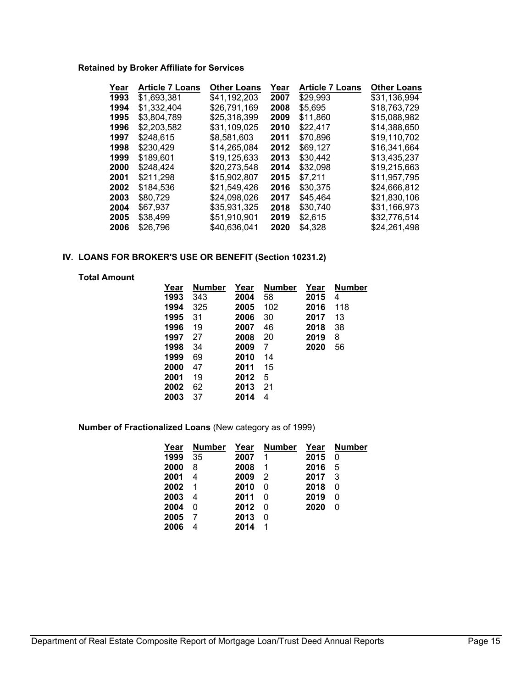## **Retained by Broker Affiliate for Services**

| Year | <b>Article 7 Loans</b> | <b>Other Loans</b> | Year | <b>Article 7 Loans</b> | <b>Other Loans</b> |
|------|------------------------|--------------------|------|------------------------|--------------------|
| 1993 | \$1.693.381            | \$41,192,203       | 2007 | \$29.993               | \$31,136,994       |
| 1994 | \$1,332,404            | \$26.791.169       | 2008 | \$5,695                | \$18,763,729       |
| 1995 | \$3,804,789            | \$25,318,399       | 2009 | \$11,860               | \$15,088,982       |
| 1996 | \$2.203.582            | \$31,109,025       | 2010 | \$22.417               | \$14.388.650       |
| 1997 | \$248,615              | \$8,581,603        | 2011 | \$70,896               | \$19,110,702       |
| 1998 | \$230,429              | \$14.265.084       | 2012 | \$69.127               | \$16,341,664       |
| 1999 | \$189.601              | \$19.125.633       | 2013 | \$30.442               | \$13.435.237       |
| 2000 | \$248,424              | \$20,273,548       | 2014 | \$32,098               | \$19,215,663       |
| 2001 | \$211,298              | \$15,902,807       | 2015 | \$7.211                | \$11.957.795       |
| 2002 | \$184.536              | \$21.549.426       | 2016 | \$30.375               | \$24.666.812       |
| 2003 | \$80,729               | \$24,098,026       | 2017 | \$45,464               | \$21,830,106       |
| 2004 | \$67.937               | \$35.931.325       | 2018 | \$30.740               | \$31,166,973       |
| 2005 | \$38,499               | \$51,910,901       | 2019 | \$2,615                | \$32,776,514       |
| 2006 | \$26,796               | \$40,636,041       | 2020 | \$4,328                | \$24,261,498       |
|      |                        |                    |      |                        |                    |

#### **IV. LOANS FOR BROKER'S USE OR BENEFIT (Section 10231.2)**

**Total Amount**

| <b>Year</b> | Number | Year | <b>Number</b> | Year | <b>Number</b> |
|-------------|--------|------|---------------|------|---------------|
| 1993        | 343    | 2004 | 58            | 2015 | 4             |
| 1994        | 325    | 2005 | 102           | 2016 | 118           |
| 1995        | 31     | 2006 | 30            | 2017 | 13            |
| 1996        | 19     | 2007 | 46            | 2018 | 38            |
| 1997        | 27     | 2008 | 20            | 2019 | 8             |
| 1998        | 34     | 2009 | 7             | 2020 | 56            |
| 1999        | 69     | 2010 | 14            |      |               |
| 2000        | 47     | 2011 | 15            |      |               |
| 2001        | 19     | 2012 | 5             |      |               |
| 2002        | 62     | 2013 | 21            |      |               |
| 2003        | 37     | 2014 | 4             |      |               |
|             |        |      |               |      |               |

**Number of Fractionalized Loans** (New category as of 1999)

| Year | <b>Number</b> | Year | <b>Number</b> | Year | <b>Number</b> |
|------|---------------|------|---------------|------|---------------|
| 1999 | 35            | 2007 | 1             | 2015 | 0             |
| 2000 | 8             | 2008 | 1             | 2016 | 5             |
| 2001 | 4             | 2009 | 2             | 2017 | 3             |
| 2002 | 1             | 2010 | 0             | 2018 | 0             |
| 2003 | 4             | 2011 | 0             | 2019 | 0             |
| 2004 | 0             | 2012 | 0             | 2020 | 0             |
| 2005 |               | 2013 | 0             |      |               |
| 2006 | 4             | 2014 |               |      |               |
|      |               |      |               |      |               |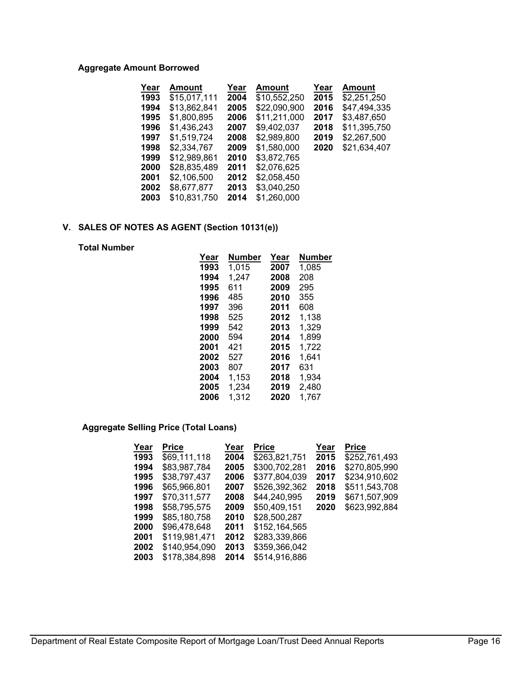## **Aggregate Amount Borrowed**

| Year | Amount       | Year | Amount       | Year | Amount       |
|------|--------------|------|--------------|------|--------------|
| 1993 | \$15,017,111 | 2004 | \$10,552,250 | 2015 | \$2,251,250  |
| 1994 | \$13,862,841 | 2005 | \$22,090,900 | 2016 | \$47,494,335 |
| 1995 | \$1,800,895  | 2006 | \$11,211,000 | 2017 | \$3,487,650  |
| 1996 | \$1,436,243  | 2007 | \$9,402,037  | 2018 | \$11,395,750 |
| 1997 | \$1.519.724  | 2008 | \$2,989,800  | 2019 | \$2,267,500  |
| 1998 | \$2,334,767  | 2009 | \$1.580.000  | 2020 | \$21.634.407 |
| 1999 | \$12,989,861 | 2010 | \$3,872,765  |      |              |
| 2000 | \$28,835,489 | 2011 | \$2,076,625  |      |              |
| 2001 | \$2.106.500  | 2012 | \$2,058,450  |      |              |
| 2002 | \$8,677,877  | 2013 | \$3,040,250  |      |              |
| 2003 | \$10.831.750 | 2014 | \$1.260.000  |      |              |

# **V. SALES OF NOTES AS AGENT (Section 10131(e))**

#### **Total Number**

| Year | Number | Year | <b>Number</b> |
|------|--------|------|---------------|
| 1993 | 1.015  | 2007 | 1,085         |
| 1994 | 1,247  | 2008 | 208           |
| 1995 | 611    | 2009 | 295           |
| 1996 | 485    | 2010 | 355           |
| 1997 | 396    | 2011 | 608           |
| 1998 | 525    | 2012 | 1.138         |
| 1999 | 542    | 2013 | 1,329         |
| 2000 | 594    | 2014 | 1,899         |
| 2001 | 421    | 2015 | 1.722         |
| 2002 | 527    | 2016 | 1.641         |
| 2003 | 807    | 2017 | 631           |
| 2004 | 1,153  | 2018 | 1,934         |
| 2005 | 1,234  | 2019 | 2.480         |
| 2006 | 1,312  | 2020 | 1,767         |

## **Aggregate Selling Price (Total Loans)**

| Year | <b>Price</b>  | Year | <b>Price</b>  | Year | <b>Price</b>  |
|------|---------------|------|---------------|------|---------------|
| 1993 | \$69,111,118  | 2004 | \$263,821,751 | 2015 | \$252,761,493 |
| 1994 | \$83.987.784  | 2005 | \$300,702,281 | 2016 | \$270,805,990 |
| 1995 | \$38,797,437  | 2006 | \$377,804,039 | 2017 | \$234,910,602 |
| 1996 | \$65,966,801  | 2007 | \$526,392,362 | 2018 | \$511,543,708 |
| 1997 | \$70,311,577  | 2008 | \$44,240,995  | 2019 | \$671,507,909 |
| 1998 | \$58.795.575  | 2009 | \$50.409.151  | 2020 | \$623,992,884 |
| 1999 | \$85,180,758  | 2010 | \$28,500,287  |      |               |
| 2000 | \$96,478,648  | 2011 | \$152,164,565 |      |               |
| 2001 | \$119,981,471 | 2012 | \$283,339,866 |      |               |
| 2002 | \$140,954,090 | 2013 | \$359,366,042 |      |               |
| 2003 | \$178.384.898 | 2014 | \$514,916,886 |      |               |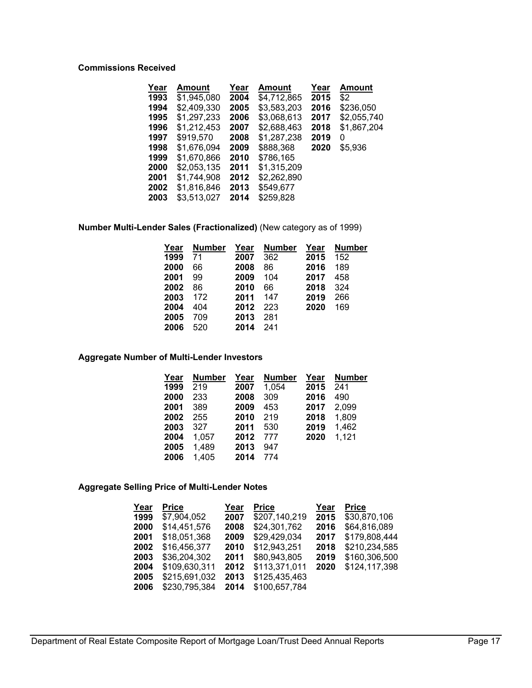## **Commissions Received**

| Year | Amount      | Year | Amount      | Year | Amount      |
|------|-------------|------|-------------|------|-------------|
| 1993 | \$1,945,080 | 2004 | \$4,712,865 | 2015 | \$2         |
| 1994 | \$2,409,330 | 2005 | \$3,583,203 | 2016 | \$236,050   |
| 1995 | \$1,297,233 | 2006 | \$3,068,613 | 2017 | \$2,055,740 |
| 1996 | \$1,212,453 | 2007 | \$2,688,463 | 2018 | \$1,867,204 |
| 1997 | \$919,570   | 2008 | \$1,287,238 | 2019 | 0           |
| 1998 | \$1,676,094 | 2009 | \$888,368   | 2020 | \$5,936     |
| 1999 | \$1,670,866 | 2010 | \$786,165   |      |             |
| 2000 | \$2,053,135 | 2011 | \$1,315,209 |      |             |
| 2001 | \$1,744,908 | 2012 | \$2,262,890 |      |             |
| 2002 | \$1,816,846 | 2013 | \$549,677   |      |             |
| 2003 | \$3,513,027 | 2014 | \$259,828   |      |             |

**Number Multi-Lender Sales (Fractionalized)** (New category as of 1999)

| Year | Number | Year | <b>Number</b> | Year | Number |
|------|--------|------|---------------|------|--------|
| 1999 | 71     | 2007 | 362           | 2015 | 152    |
| 2000 | 66     | 2008 | 86            | 2016 | 189    |
| 2001 | 99     | 2009 | 104           | 2017 | 458    |
| 2002 | 86     | 2010 | 66            | 2018 | 324    |
| 2003 | 172    | 2011 | 147           | 2019 | 266    |
| 2004 | 404    | 2012 | 223           | 2020 | 169    |
| 2005 | 709    | 2013 | 281           |      |        |
| 2006 | 520    | 2014 | 241           |      |        |

**Aggregate Number of Multi-Lender Investors**

| Year | <b>Number</b> | Year | <b>Number</b> | Year | <b>Number</b> |
|------|---------------|------|---------------|------|---------------|
| 1999 | 219           | 2007 | 1.054         | 2015 | 241           |
| 2000 | 233           | 2008 | 309           | 2016 | 490           |
| 2001 | 389           | 2009 | 453           | 2017 | 2,099         |
| 2002 | 255           | 2010 | 219           | 2018 | 1,809         |
| 2003 | 327           | 2011 | 530           | 2019 | 1,462         |
| 2004 | 1.057         | 2012 | 777           | 2020 | 1,121         |
| 2005 | 1,489         | 2013 | 947           |      |               |
| 2006 | 1,405         | 2014 | 774           |      |               |

#### **Aggregate Selling Price of Multi-Lender Notes**

| <b>Price</b>  | Year | <b>Price</b>  | Year | <b>Price</b>  |
|---------------|------|---------------|------|---------------|
| \$7,904,052   | 2007 | \$207,140,219 | 2015 | \$30,870,106  |
| \$14,451,576  | 2008 | \$24,301,762  | 2016 | \$64,816,089  |
| \$18,051,368  | 2009 | \$29,429,034  | 2017 | \$179,808,444 |
| \$16,456,377  | 2010 | \$12,943,251  | 2018 | \$210,234,585 |
| \$36,204,302  | 2011 | \$80,943,805  | 2019 | \$160,306,500 |
| \$109,630,311 | 2012 | \$113,371,011 | 2020 | \$124,117,398 |
| \$215,691,032 | 2013 | \$125,435,463 |      |               |
| \$230,795,384 | 2014 | \$100,657,784 |      |               |
|               |      |               |      |               |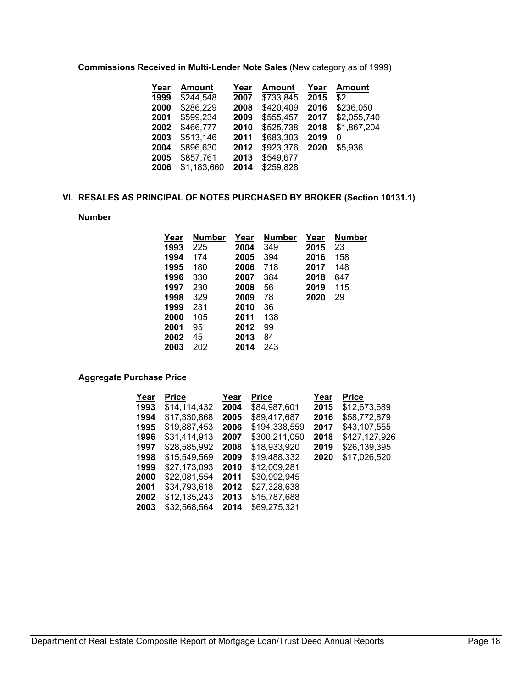**Commissions Received in Multi-Lender Note Sales** (New category as of 1999)

| <u>Year</u> | <b>Amount</b> | Year | Amount    | Year | <b>Amount</b> |
|-------------|---------------|------|-----------|------|---------------|
| 1999        | \$244,548     | 2007 | \$733,845 | 2015 | \$2           |
| 2000        | \$286,229     | 2008 | \$420,409 | 2016 | \$236,050     |
| 2001        | \$599,234     | 2009 | \$555,457 | 2017 | \$2,055,740   |
| 2002        | \$466,777     | 2010 | \$525,738 | 2018 | \$1,867,204   |
| 2003        | \$513,146     | 2011 | \$683,303 | 2019 | 0             |
| 2004        | \$896,630     | 2012 | \$923,376 | 2020 | \$5,936       |
| 2005        | \$857,761     | 2013 | \$549,677 |      |               |
| 2006        | \$1,183,660   | 2014 | \$259,828 |      |               |
|             |               |      |           |      |               |

#### **VI. RESALES AS PRINCIPAL OF NOTES PURCHASED BY BROKER (Section 10131.1)**

## **Number**

| Year | Number | Year | Number | Year | Number |
|------|--------|------|--------|------|--------|
| 1993 | 225    | 2004 | 349    | 2015 | 23     |
| 1994 | 174    | 2005 | 394    | 2016 | 158    |
| 1995 | 180    | 2006 | 718    | 2017 | 148    |
| 1996 | 330    | 2007 | 384    | 2018 | 647    |
| 1997 | 230    | 2008 | 56     | 2019 | 115    |
| 1998 | 329    | 2009 | 78     | 2020 | 29     |
| 1999 | 231    | 2010 | 36     |      |        |
| 2000 | 105    | 2011 | 138    |      |        |
| 2001 | 95     | 2012 | 99     |      |        |
| 2002 | 45     | 2013 | 84     |      |        |
| 2003 | 202    | 2014 | 243    |      |        |
|      |        |      |        |      |        |

**Aggregate Purchase Price** 

| Year | <b>Price</b> | Year | <b>Price</b>  | Year | <b>Price</b>  |
|------|--------------|------|---------------|------|---------------|
| 1993 | \$14.114.432 | 2004 | \$84,987,601  | 2015 | \$12,673,689  |
| 1994 | \$17.330.868 | 2005 | \$89,417,687  | 2016 | \$58,772,879  |
| 1995 | \$19,887,453 | 2006 | \$194,338,559 | 2017 | \$43,107,555  |
| 1996 | \$31.414.913 | 2007 | \$300.211.050 | 2018 | \$427,127,926 |
| 1997 | \$28,585,992 | 2008 | \$18,933,920  | 2019 | \$26,139,395  |
| 1998 | \$15,549,569 | 2009 | \$19,488,332  | 2020 | \$17,026,520  |
| 1999 | \$27,173,093 | 2010 | \$12,009,281  |      |               |
| 2000 | \$22,081,554 | 2011 | \$30,992,945  |      |               |
| 2001 | \$34,793,618 | 2012 | \$27,328,638  |      |               |
| 2002 | \$12,135,243 | 2013 | \$15,787,688  |      |               |
| 2003 | \$32,568,564 | 2014 | \$69,275,321  |      |               |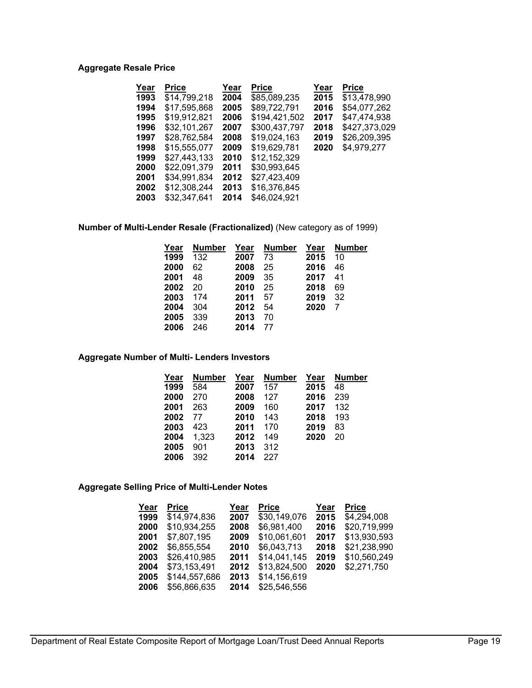## **Aggregate Resale Price**

| Year | <b>Price</b> | Year | <b>Price</b>  | Year | <b>Price</b>  |
|------|--------------|------|---------------|------|---------------|
| 1993 | \$14,799,218 | 2004 | \$85.089.235  | 2015 | \$13.478.990  |
| 1994 | \$17.595.868 | 2005 | \$89,722,791  | 2016 | \$54,077,262  |
| 1995 | \$19,912,821 | 2006 | \$194,421,502 | 2017 | \$47.474.938  |
| 1996 | \$32,101,267 | 2007 | \$300,437,797 | 2018 | \$427,373,029 |
| 1997 | \$28,762,584 | 2008 | \$19,024,163  | 2019 | \$26,209,395  |
| 1998 | \$15,555,077 | 2009 | \$19.629.781  | 2020 | \$4.979.277   |
| 1999 | \$27,443,133 | 2010 | \$12,152,329  |      |               |
| 2000 | \$22.091.379 | 2011 | \$30,993,645  |      |               |
| 2001 | \$34,991,834 | 2012 | \$27,423,409  |      |               |
| 2002 | \$12,308,244 | 2013 | \$16,376,845  |      |               |
| 2003 | \$32.347.641 | 2014 | \$46,024,921  |      |               |

**Number of Multi-Lender Resale (Fractionalized)** (New category as of 1999)

| Year | <b>Number</b> | Year | <b>Number</b> | Year | <b>Number</b> |
|------|---------------|------|---------------|------|---------------|
| 1999 | 132           | 2007 | 73            | 2015 | 10            |
| 2000 | 62            | 2008 | 25            | 2016 | 46            |
| 2001 | 48            | 2009 | 35            | 2017 | 41            |
| 2002 | 20            | 2010 | 25            | 2018 | 69            |
| 2003 | 174           | 2011 | 57            | 2019 | 32            |
| 2004 | 304           | 2012 | 54            | 2020 |               |
| 2005 | 339           | 2013 | 70            |      |               |
| 2006 | 246           | 2014 | 77            |      |               |

**Aggregate Number of Multi- Lenders Investors**

| Year | <b>Number</b> | Year | <b>Number</b> | Year | <b>Number</b> |
|------|---------------|------|---------------|------|---------------|
| 1999 | 584           | 2007 | 157           | 2015 | 48            |
| 2000 | 270           | 2008 | 127           | 2016 | 239           |
| 2001 | 263           | 2009 | 160           | 2017 | 132           |
| 2002 | 77            | 2010 | 143           | 2018 | 193           |
| 2003 | 423           | 2011 | 170           | 2019 | 83            |
| 2004 | 1.323         | 2012 | 149           | 2020 | 20            |
| 2005 | 901           | 2013 | 312           |      |               |
| 2006 | 392           | 2014 | 227           |      |               |

#### **Aggregate Selling Price of Multi-Lender Notes**

| Year | <b>Price</b>  | Year | <b>Price</b> | Year | <b>Price</b> |
|------|---------------|------|--------------|------|--------------|
| 1999 | \$14,974,836  | 2007 | \$30,149,076 | 2015 | \$4,294,008  |
| 2000 | \$10,934,255  | 2008 | \$6,981,400  | 2016 | \$20,719,999 |
| 2001 | \$7,807,195   | 2009 | \$10,061,601 | 2017 | \$13,930,593 |
| 2002 | \$6,855,554   | 2010 | \$6,043,713  | 2018 | \$21,238,990 |
| 2003 | \$26,410,985  | 2011 | \$14,041,145 | 2019 | \$10,560,249 |
| 2004 | \$73,153,491  | 2012 | \$13,824,500 | 2020 | \$2,271,750  |
| 2005 | \$144,557,686 | 2013 | \$14,156,619 |      |              |
| 2006 | \$56,866,635  | 2014 | \$25,546,556 |      |              |
|      |               |      |              |      |              |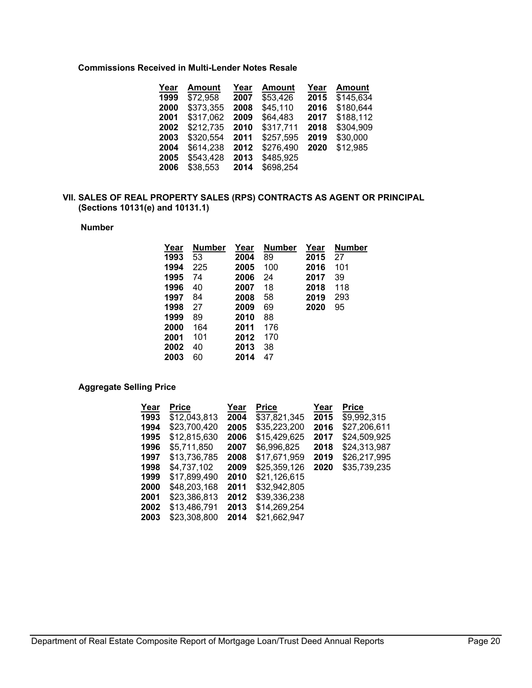#### **Commissions Received in Multi-Lender Notes Resale**

| Year | <b>Amount</b> | Year | <b>Amount</b> | Year | <b>Amount</b> |
|------|---------------|------|---------------|------|---------------|
| 1999 | \$72,958      | 2007 | \$53,426      | 2015 | \$145,634     |
| 2000 | \$373,355     | 2008 | \$45,110      | 2016 | \$180,644     |
| 2001 | \$317,062     | 2009 | \$64,483      | 2017 | \$188,112     |
| 2002 | \$212,735     | 2010 | \$317,711     | 2018 | \$304,909     |
| 2003 | \$320,554     | 2011 | \$257,595     | 2019 | \$30,000      |
| 2004 | \$614,238     | 2012 | \$276,490     | 2020 | \$12,985      |
| 2005 | \$543,428     | 2013 | \$485,925     |      |               |
| 2006 | \$38,553      | 2014 | \$698,254     |      |               |

#### **VII. SALES OF REAL PROPERTY SALES (RPS) CONTRACTS AS AGENT OR PRINCIPAL (Sections 10131(e) and 10131.1)**

#### **Number**

| <b>Number</b> | Year | Number | Year | <b>Number</b> |
|---------------|------|--------|------|---------------|
| 53            | 2004 | 89     | 2015 | 27            |
| 225           | 2005 | 100    | 2016 | 101           |
| 74            | 2006 | 24     | 2017 | 39            |
| 40            | 2007 | 18     | 2018 | 118           |
| 84            | 2008 | 58     | 2019 | 293           |
| 27            | 2009 | 69     | 2020 | 95            |
| 89            | 2010 | 88     |      |               |
| 164           | 2011 | 176    |      |               |
| 101           | 2012 | 170    |      |               |
| 40            | 2013 | 38     |      |               |
| 60            | 2014 | 47     |      |               |
|               |      |        |      |               |

#### **Aggregate Selling Price**

| Year | Price        | Year | Price        | Year | <b>Price</b> |
|------|--------------|------|--------------|------|--------------|
| 1993 | \$12.043.813 | 2004 | \$37.821.345 | 2015 | \$9,992,315  |
| 1994 | \$23,700,420 | 2005 | \$35,223,200 | 2016 | \$27,206,611 |
| 1995 | \$12.815.630 | 2006 | \$15,429,625 | 2017 | \$24,509,925 |
| 1996 | \$5.711.850  | 2007 | \$6,996,825  | 2018 | \$24,313,987 |
| 1997 | \$13,736,785 | 2008 | \$17,671,959 | 2019 | \$26,217,995 |
| 1998 | \$4.737.102  | 2009 | \$25.359.126 | 2020 | \$35,739,235 |
| 1999 | \$17,899,490 | 2010 | \$21,126,615 |      |              |
| 2000 | \$48,203,168 | 2011 | \$32,942,805 |      |              |
| 2001 | \$23,386,813 | 2012 | \$39,336,238 |      |              |
| 2002 | \$13,486,791 | 2013 | \$14,269,254 |      |              |
| 2003 | \$23,308,800 | 2014 | \$21,662,947 |      |              |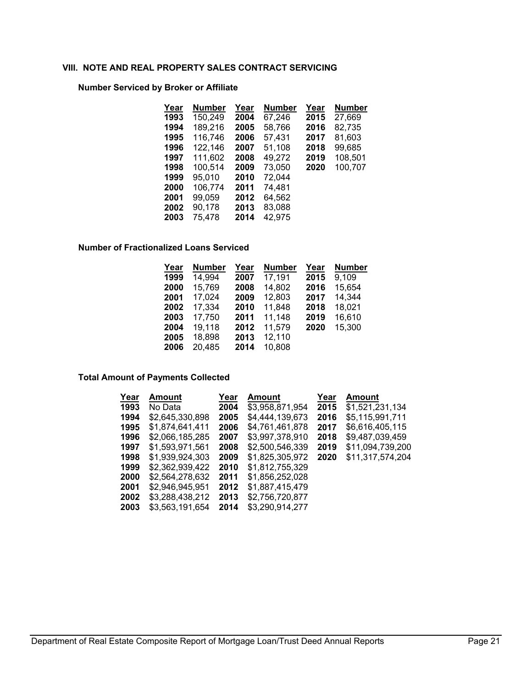#### **VIII. NOTE AND REAL PROPERTY SALES CONTRACT SERVICING**

# **Number Serviced by Broker or Affiliate**

| Year | Number  | Year | <b>Number</b> | Year | <b>Number</b> |
|------|---------|------|---------------|------|---------------|
| 1993 | 150,249 | 2004 | 67,246        | 2015 | 27,669        |
| 1994 | 189,216 | 2005 | 58,766        | 2016 | 82,735        |
| 1995 | 116,746 | 2006 | 57,431        | 2017 | 81,603        |
| 1996 | 122,146 | 2007 | 51.108        | 2018 | 99,685        |
| 1997 | 111,602 | 2008 | 49,272        | 2019 | 108,501       |
| 1998 | 100,514 | 2009 | 73,050        | 2020 | 100,707       |
| 1999 | 95,010  | 2010 | 72.044        |      |               |
| 2000 | 106,774 | 2011 | 74,481        |      |               |
| 2001 | 99.059  | 2012 | 64,562        |      |               |
| 2002 | 90,178  | 2013 | 83,088        |      |               |
| 2003 | 75,478  | 2014 | 42,975        |      |               |

#### **Number of Fractionalized Loans Serviced**

| Year | <b>Number</b> | Year | <b>Number</b> | Year | <b>Number</b> |
|------|---------------|------|---------------|------|---------------|
| 1999 | 14,994        | 2007 | 17,191        | 2015 | 9,109         |
| 2000 | 15,769        | 2008 | 14,802        | 2016 | 15,654        |
| 2001 | 17,024        | 2009 | 12,803        | 2017 | 14,344        |
| 2002 | 17,334        | 2010 | 11,848        | 2018 | 18,021        |
| 2003 | 17,750        | 2011 | 11,148        | 2019 | 16,610        |
| 2004 | 19,118        | 2012 | 11,579        | 2020 | 15,300        |
| 2005 | 18,898        | 2013 | 12,110        |      |               |
| 2006 | 20,485        | 2014 | 10,808        |      |               |

#### **Total Amount of Payments Collected**

| Year | Amount          | Year | Amount          | Year | Amount           |
|------|-----------------|------|-----------------|------|------------------|
| 1993 | No Data         | 2004 | \$3,958,871,954 | 2015 | \$1,521,231,134  |
| 1994 | \$2,645,330,898 | 2005 | \$4.444.139.673 | 2016 | \$5,115,991,711  |
| 1995 | \$1,874,641,411 | 2006 | \$4.761.461.878 | 2017 | \$6,616,405,115  |
| 1996 | \$2,066,185,285 | 2007 | \$3,997,378,910 | 2018 | \$9,487,039,459  |
| 1997 | \$1,593,971,561 | 2008 | \$2,500,546,339 | 2019 | \$11,094,739,200 |
| 1998 | \$1,939,924,303 | 2009 | \$1,825,305,972 | 2020 | \$11,317,574,204 |
| 1999 | \$2.362.939.422 | 2010 | \$1,812,755,329 |      |                  |
| 2000 | \$2.564.278.632 | 2011 | \$1,856,252,028 |      |                  |
| 2001 | \$2,946,945,951 | 2012 | \$1.887.415.479 |      |                  |
| 2002 | \$3,288,438,212 | 2013 | \$2,756,720,877 |      |                  |
| 2003 | \$3.563.191.654 | 2014 | \$3.290.914.277 |      |                  |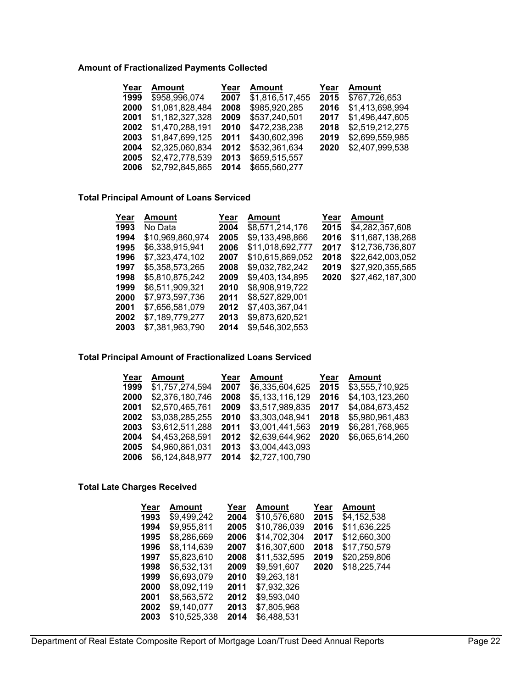## **Amount of Fractionalized Payments Collected**

| Amount          | Year | Amount          | Year | <b>Amount</b>   |
|-----------------|------|-----------------|------|-----------------|
| \$958,996,074   | 2007 | \$1,816,517,455 | 2015 | \$767,726,653   |
| \$1,081,828,484 | 2008 | \$985,920,285   | 2016 | \$1,413,698,994 |
| \$1,182,327,328 | 2009 | \$537,240,501   | 2017 | \$1,496,447,605 |
| \$1,470,288,191 | 2010 | \$472,238,238   | 2018 | \$2,519,212,275 |
| \$1,847,699,125 | 2011 | \$430,602,396   | 2019 | \$2,699,559,985 |
| \$2,325,060,834 | 2012 | \$532,361,634   | 2020 | \$2,407,999,538 |
| \$2,472,778,539 | 2013 | \$659,515,557   |      |                 |
| \$2,792,845,865 | 2014 | \$655,560,277   |      |                 |
|                 |      |                 |      |                 |

## **Total Principal Amount of Loans Serviced**

| Year | Amount           | Year | Amount           | Year | Amount           |
|------|------------------|------|------------------|------|------------------|
| 1993 | No Data          | 2004 | \$8,571,214,176  | 2015 | \$4,282,357,608  |
| 1994 | \$10,969,860,974 | 2005 | \$9,133,498,866  | 2016 | \$11,687,138,268 |
| 1995 | \$6,338,915,941  | 2006 | \$11,018,692,777 | 2017 | \$12,736,736,807 |
| 1996 | \$7.323.474.102  | 2007 | \$10.615.869.052 | 2018 | \$22,642,003,052 |
| 1997 | \$5,358,573,265  | 2008 | \$9.032.782.242  | 2019 | \$27,920,355,565 |
| 1998 | \$5,810,875,242  | 2009 | \$9,403,134,895  | 2020 | \$27,462,187,300 |
| 1999 | \$6,511,909,321  | 2010 | \$8,908,919,722  |      |                  |
| 2000 | \$7,973,597,736  | 2011 | \$8,527,829,001  |      |                  |
| 2001 | \$7,656,581,079  | 2012 | \$7,403,367,041  |      |                  |
| 2002 | \$7.189.779.277  | 2013 | \$9,873,620,521  |      |                  |
| 2003 | \$7.381.963.790  | 2014 | \$9,546,302,553  |      |                  |

## **Total Principal Amount of Fractionalized Loans Serviced**

| Year | Amount          | Year | Amount          | Year | <b>Amount</b>   |
|------|-----------------|------|-----------------|------|-----------------|
| 1999 | \$1,757,274,594 | 2007 | \$6.335.604.625 | 2015 | \$3,555,710,925 |
| 2000 | \$2,376,180,746 | 2008 | \$5,133,116,129 | 2016 | \$4,103,123,260 |
| 2001 | \$2,570,465,761 | 2009 | \$3,517,989,835 | 2017 | \$4,084,673,452 |
| 2002 | \$3,038,285,255 | 2010 | \$3,303,048,941 | 2018 | \$5,980,961,483 |
| 2003 | \$3,612,511,288 | 2011 | \$3,001,441,563 | 2019 | \$6,281,768,965 |
| 2004 | \$4.453.268.591 | 2012 | \$2.639.644.962 | 2020 | \$6,065,614,260 |
| 2005 | \$4,960,861,031 | 2013 | \$3,004,443,093 |      |                 |
| 2006 | \$6,124,848,977 | 2014 | \$2,727,100,790 |      |                 |

#### **Total Late Charges Received**

| Year | Amount       | Year | <b>Amount</b> | Year | <b>Amount</b> |
|------|--------------|------|---------------|------|---------------|
| 1993 | \$9,499,242  | 2004 | \$10,576,680  | 2015 | \$4,152,538   |
| 1994 | \$9.955.811  | 2005 | \$10,786,039  | 2016 | \$11,636,225  |
| 1995 | \$8.286.669  | 2006 | \$14.702.304  | 2017 | \$12,660,300  |
| 1996 | \$8,114,639  | 2007 | \$16,307,600  | 2018 | \$17,750,579  |
| 1997 | \$5.823.610  | 2008 | \$11.532.595  | 2019 | \$20,259,806  |
| 1998 | \$6,532,131  | 2009 | \$9,591,607   | 2020 | \$18,225,744  |
| 1999 | \$6,693,079  | 2010 | \$9,263,181   |      |               |
| 2000 | \$8.092.119  | 2011 | \$7,932,326   |      |               |
| 2001 | \$8.563.572  | 2012 | \$9.593.040   |      |               |
| 2002 | \$9,140,077  | 2013 | \$7,805,968   |      |               |
| 2003 | \$10,525,338 | 2014 | \$6,488,531   |      |               |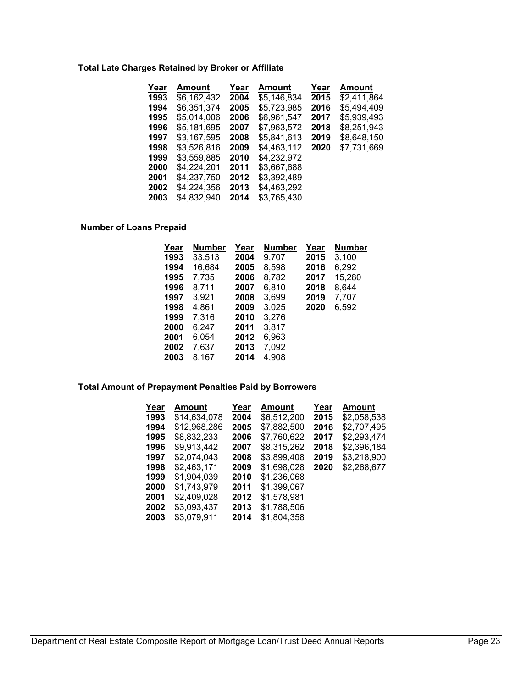#### **Total Late Charges Retained by Broker or Affiliate**

| Amount      | Year | <b>Amount</b> | Year | Amount      |
|-------------|------|---------------|------|-------------|
| \$6,162,432 | 2004 | \$5,146,834   | 2015 | \$2.411.864 |
| \$6,351,374 | 2005 | \$5,723,985   | 2016 | \$5,494,409 |
| \$5,014,006 | 2006 | \$6.961.547   | 2017 | \$5,939,493 |
| \$5,181,695 | 2007 | \$7,963,572   | 2018 | \$8,251,943 |
| \$3,167,595 | 2008 | \$5,841,613   | 2019 | \$8,648,150 |
| \$3,526,816 | 2009 | \$4,463,112   | 2020 | \$7,731,669 |
| \$3,559,885 | 2010 | \$4,232,972   |      |             |
| \$4,224,201 | 2011 | \$3,667,688   |      |             |
| \$4.237.750 | 2012 | \$3,392,489   |      |             |
| \$4.224.356 | 2013 | \$4.463.292   |      |             |
| \$4,832,940 | 2014 | \$3,765,430   |      |             |
|             |      |               |      |             |

#### **Number of Loans Prepaid**

| Number | Year | <b>Number</b> | Year | <b>Number</b> |
|--------|------|---------------|------|---------------|
| 33,513 | 2004 | 9,707         | 2015 | 3,100         |
| 16,684 | 2005 | 8,598         | 2016 | 6,292         |
| 7,735  | 2006 | 8,782         | 2017 | 15,280        |
| 8.711  | 2007 | 6,810         | 2018 | 8,644         |
| 3.921  | 2008 | 3,699         | 2019 | 7,707         |
| 4,861  | 2009 | 3,025         | 2020 | 6.592         |
| 7.316  | 2010 | 3,276         |      |               |
| 6.247  | 2011 | 3,817         |      |               |
| 6,054  | 2012 | 6,963         |      |               |
| 7,637  | 2013 | 7,092         |      |               |
| 8.167  | 2014 | 4,908         |      |               |
|        |      |               |      |               |

## **Total Amount of Prepayment Penalties Paid by Borrowers**

| Year | Amount       | Year | Amount      | Year | Amount      |
|------|--------------|------|-------------|------|-------------|
| 1993 | \$14.634.078 | 2004 | \$6,512,200 | 2015 | \$2,058,538 |
| 1994 | \$12,968,286 | 2005 | \$7,882,500 | 2016 | \$2.707.495 |
| 1995 | \$8,832,233  | 2006 | \$7.760.622 | 2017 | \$2.293.474 |
| 1996 | \$9,913,442  | 2007 | \$8,315,262 | 2018 | \$2,396,184 |
| 1997 | \$2,074,043  | 2008 | \$3,899,408 | 2019 | \$3,218,900 |
| 1998 | \$2,463,171  | 2009 | \$1.698.028 | 2020 | \$2,268,677 |
| 1999 | \$1,904,039  | 2010 | \$1,236,068 |      |             |
| 2000 | \$1,743,979  | 2011 | \$1,399,067 |      |             |
| 2001 | \$2,409,028  | 2012 | \$1,578,981 |      |             |
| 2002 | \$3,093,437  | 2013 | \$1,788,506 |      |             |
| 2003 | \$3,079,911  | 2014 | \$1,804,358 |      |             |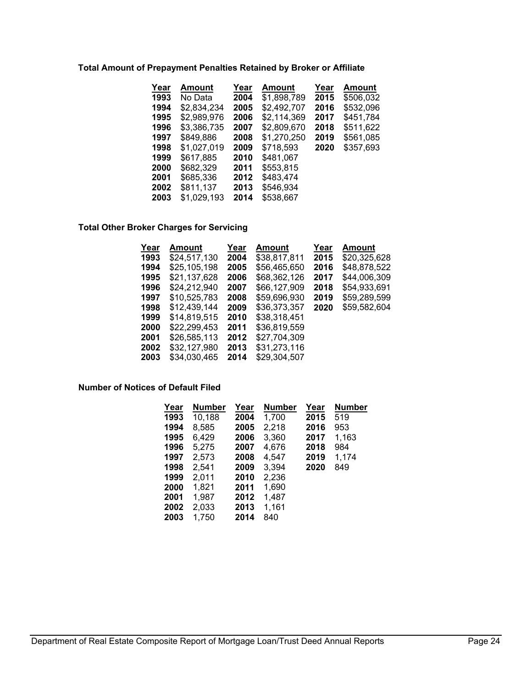#### **Total Amount of Prepayment Penalties Retained by Broker or Affiliate**

| \$1,898,789<br>\$506,032<br>1993<br>2015<br>2004<br>No Data     |  |
|-----------------------------------------------------------------|--|
| \$2,492,707<br>\$532,096<br>\$2,834,234<br>1994<br>2005<br>2016 |  |
| \$2,989,976<br>\$2,114,369<br>\$451,784<br>1995<br>2006<br>2017 |  |
| \$3,386,735<br>\$511,622<br>2007<br>\$2,809,670<br>2018<br>1996 |  |
| \$1,270,250<br>\$849,886<br>2008<br>\$561,085<br>1997<br>2019   |  |
| \$1,027,019<br>\$357,693<br>\$718,593<br>1998<br>2009<br>2020   |  |
| \$617,885<br>1999<br>\$481,067<br>2010                          |  |
| \$553,815<br>\$682,329<br>2000<br>2011                          |  |
| \$685.336<br>\$483.474<br>2001<br>2012                          |  |
| \$811,137<br>\$546,934<br>2002<br>2013                          |  |
| \$1,029,193<br>2003<br>2014<br>\$538,667                        |  |

# **Total Other Broker Charges for Servicing**

| Amount       | Year | <b>Amount</b> | Year | Amount       |
|--------------|------|---------------|------|--------------|
| \$24,517,130 | 2004 | \$38,817,811  | 2015 | \$20,325,628 |
| \$25,105,198 | 2005 | \$56,465,650  | 2016 | \$48,878,522 |
| \$21,137,628 | 2006 | \$68,362,126  | 2017 | \$44,006,309 |
| \$24,212,940 | 2007 | \$66,127,909  | 2018 | \$54,933,691 |
| \$10,525,783 | 2008 | \$59.696.930  | 2019 | \$59,289,599 |
| \$12,439,144 | 2009 | \$36,373,357  | 2020 | \$59,582,604 |
| \$14,819,515 | 2010 | \$38,318,451  |      |              |
| \$22,299,453 | 2011 | \$36,819,559  |      |              |
| \$26.585.113 | 2012 | \$27.704.309  |      |              |
| \$32,127,980 | 2013 | \$31,273,116  |      |              |
| \$34.030.465 | 2014 | \$29.304.507  |      |              |
|              |      |               |      |              |

#### **Number of Notices of Default Filed**

| Year | <b>Number</b> | Year | Number | Year | <b>Number</b> |
|------|---------------|------|--------|------|---------------|
| 1993 | 10,188        | 2004 | 1,700  | 2015 | 519           |
| 1994 | 8,585         | 2005 | 2,218  | 2016 | 953           |
| 1995 | 6,429         | 2006 | 3,360  | 2017 | 1,163         |
| 1996 | 5,275         | 2007 | 4,676  | 2018 | 984           |
| 1997 | 2,573         | 2008 | 4,547  | 2019 | 1.174         |
| 1998 | 2,541         | 2009 | 3,394  | 2020 | 849           |
| 1999 | 2.011         | 2010 | 2,236  |      |               |
| 2000 | 1,821         | 2011 | 1,690  |      |               |
| 2001 | 1,987         | 2012 | 1,487  |      |               |
| 2002 | 2,033         | 2013 | 1,161  |      |               |
| 2003 | 1.750         | 2014 | 840    |      |               |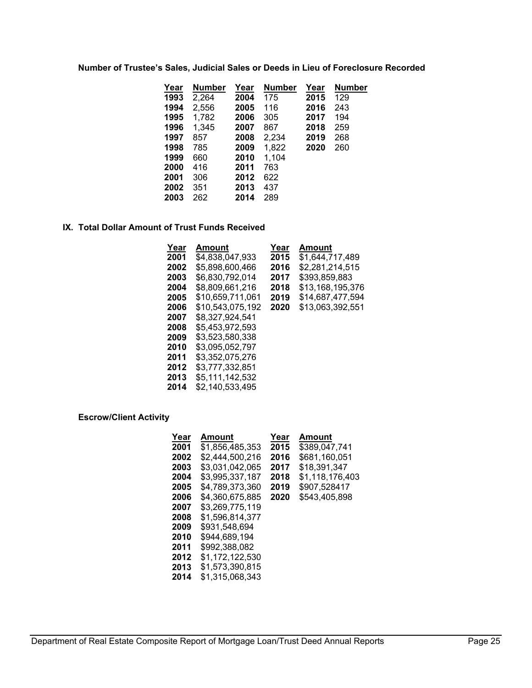#### **Number of Trustee's Sales, Judicial Sales or Deeds in Lieu of Foreclosure Recorded**

| Year | Number | Year | <b>Number</b> | Year | <b>Number</b> |
|------|--------|------|---------------|------|---------------|
| 1993 | 2,264  | 2004 | 175           | 2015 | 129           |
| 1994 | 2,556  | 2005 | 116           | 2016 | 243           |
| 1995 | 1.782  | 2006 | 305           | 2017 | 194           |
| 1996 | 1.345  | 2007 | 867           | 2018 | 259           |
| 1997 | 857    | 2008 | 2,234         | 2019 | 268           |
| 1998 | 785    | 2009 | 1,822         | 2020 | 260           |
| 1999 | 660    | 2010 | 1,104         |      |               |
| 2000 | 416    | 2011 | 763           |      |               |
| 2001 | 306    | 2012 | 622           |      |               |
| 2002 | 351    | 2013 | 437           |      |               |
| 2003 | 262    | 2014 | 289           |      |               |

## **IX. Total Dollar Amount of Trust Funds Received**

| Year | Amount           | Year | Amount           |
|------|------------------|------|------------------|
| 2001 | \$4.838.047.933  | 2015 | \$1.644.717.489  |
| 2002 | \$5.898.600.466  | 2016 | \$2,281,214,515  |
| 2003 | \$6,830,792,014  | 2017 | \$393.859.883    |
| 2004 | \$8.809.661.216  | 2018 | \$13,168,195,376 |
| 2005 | \$10.659.711.061 | 2019 | \$14.687.477.594 |
| 2006 | \$10,543,075,192 | 2020 | \$13,063,392,551 |
| 2007 | \$8.327.924.541  |      |                  |
| 2008 | \$5.453.972.593  |      |                  |
| 2009 | \$3.523.580.338  |      |                  |
| 2010 | \$3.095.052.797  |      |                  |
| 2011 | \$3.352.075.276  |      |                  |
| 2012 | \$3,777,332,851  |      |                  |
| 2013 | \$5,111,142,532  |      |                  |
| 2014 | \$2.140.533.495  |      |                  |

## **Escrow/Client Activity**

| Year | Amount          | Year | Amount          |
|------|-----------------|------|-----------------|
| 2001 | \$1.856.485.353 | 2015 | \$389.047.741   |
| 2002 | \$2,444,500,216 | 2016 | \$681,160,051   |
| 2003 | \$3,031,042,065 | 2017 | \$18.391.347    |
| 2004 | \$3.995.337.187 | 2018 | \$1,118,176,403 |
| 2005 | \$4.789.373.360 | 2019 | \$907.528417    |
| 2006 | \$4.360.675.885 | 2020 | \$543.405.898   |
| 2007 | \$3.269.775.119 |      |                 |
| 2008 | \$1.596.814.377 |      |                 |
| 2009 | \$931.548.694   |      |                 |
| 2010 | \$944.689.194   |      |                 |
| 2011 | \$992.388.082   |      |                 |
| 2012 | \$1.172.122.530 |      |                 |
| 2013 | \$1.573.390.815 |      |                 |
| 2014 | \$1,315,068,343 |      |                 |